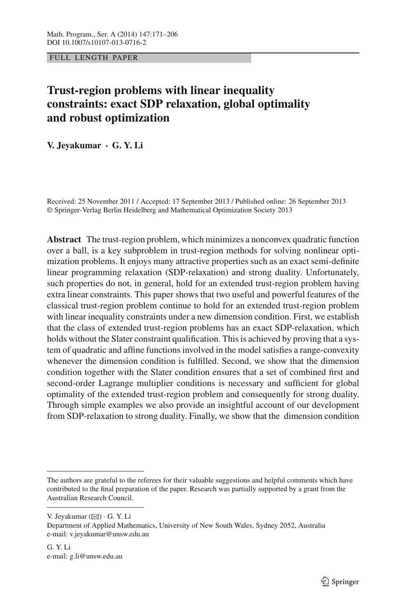FULL LENGTH PAPER

# **Trust-region problems with linear inequality constraints: exact SDP relaxation, global optimality and robust optimization**

**V. Jeyakumar · G. Y. Li**

Received: 25 November 2011 / Accepted: 17 September 2013 / Published online: 26 September 2013 © Springer-Verlag Berlin Heidelberg and Mathematical Optimization Society 2013

**Abstract** The trust-region problem, which minimizes a nonconvex quadratic function over a ball, is a key subproblem in trust-region methods for solving nonlinear optimization problems. It enjoys many attractive properties such as an exact semi-definite linear programming relaxation (SDP-relaxation) and strong duality. Unfortunately, such properties do not, in general, hold for an extended trust-region problem having extra linear constraints. This paper shows that two useful and powerful features of the classical trust-region problem continue to hold for an extended trust-region problem with linear inequality constraints under a new dimension condition. First, we establish that the class of extended trust-region problems has an exact SDP-relaxation, which holds without the Slater constraint qualification. This is achieved by proving that a system of quadratic and affine functions involved in the model satisfies a range-convexity whenever the dimension condition is fulfilled. Second, we show that the dimension condition together with the Slater condition ensures that a set of combined first and second-order Lagrange multiplier conditions is necessary and sufficient for global optimality of the extended trust-region problem and consequently for strong duality. Through simple examples we also provide an insightful account of our development from SDP-relaxation to strong duality. Finally, we show that the dimension condition

V. Jeyakumar (B) · G. Y. Li

The authors are grateful to the referees for their valuable suggestions and helpful comments which have contributed to the final preparation of the paper. Research was partially supported by a grant from the Australian Research Council.

Department of Applied Mathematics, University of New South Wales, Sydney 2052, Australia e-mail: v.jeyakumar@unsw.edu.au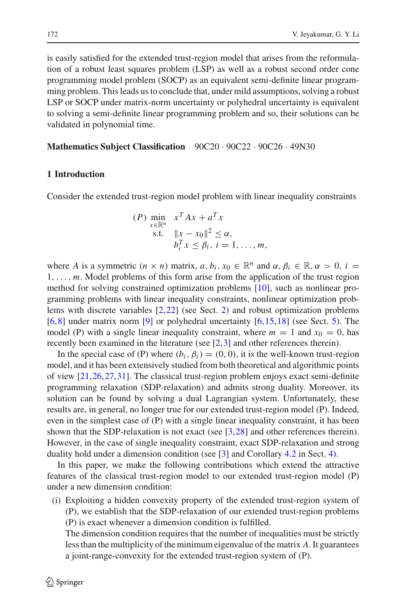is easily satisfied for the extended trust-region model that arises from the reformulation of a robust least squares problem (LSP) as well as a robust second order cone programming model problem (SOCP) as an equivalent semi-definite linear programming problem. This leads us to conclude that, under mild assumptions, solving a robust LSP or SOCP under matrix-norm uncertainty or polyhedral uncertainty is equivalent to solving a semi-definite linear programming problem and so, their solutions can be validated in polynomial time.

# **Mathematics Subject Classification** 90C20 · 90C22 · 90C26 · 49N30

# **1 Introduction**

Consider the extended trust-region model problem with linear inequality constraints

$$
(P) \min_{x \in \mathbb{R}^n} x^T A x + a^T x
$$
  
s.t.  $||x - x_0||^2 \le \alpha$ ,  
 $b_i^T x \le \beta_i$ ,  $i = 1, ..., m$ ,

where *A* is a symmetric  $(n \times n)$  matrix,  $a, b_i, x_0 \in \mathbb{R}^n$  and  $\alpha, \beta_i \in \mathbb{R}, \alpha > 0, i =$ 1,..., *m*. Model problems of this form arise from the application of the trust region method for solving constrained optimization problems [\[10](#page-34-0)], such as nonlinear programming problems with linear inequality constraints, nonlinear optimization problems with discrete variables [\[2](#page-34-1),[22\]](#page-35-0) (see Sect. [2\)](#page-3-0) and robust optimization problems  $[6,8]$  $[6,8]$  $[6,8]$  under matrix norm  $[9]$  $[9]$  or polyhedral uncertainty  $[6,15,18]$  $[6,15,18]$  $[6,15,18]$  $[6,15,18]$  (see Sect. [5\)](#page-21-0). The model (P) with a single linear inequality constraint, where  $m = 1$  and  $x<sub>0</sub> = 0$ , has recently been examined in the literature (see [\[2](#page-34-1)[,3](#page-34-5)] and other references therein).

In the special case of (P) where  $(b_i, \beta_i) = (0, 0)$ , it is the well-known trust-region model, and it has been extensively studied from both theoretical and algorithmic points of view [\[21,](#page-35-3)[26](#page-35-4)[,27](#page-35-5)[,31](#page-35-6)]. The classical trust-region problem enjoys exact semi-definite programming relaxation (SDP-relaxation) and admits strong duality. Moreover, its solution can be found by solving a dual Lagrangian system. Unfortunately, these results are, in general, no longer true for our extended trust-region model (P). Indeed, even in the simplest case of (P) with a single linear inequality constraint, it has been shown that the SDP-relaxation is not exact (see [\[3](#page-34-5),[28\]](#page-35-7) and other references therein). However, in the case of single inequality constraint, exact SDP-relaxation and strong duality hold under a dimension condition (see [\[3](#page-34-5)] and Corollary [4.2](#page-18-0) in Sect. [4\)](#page-14-0).

In this paper, we make the following contributions which extend the attractive features of the classical trust-region model to our extended trust-region model (P) under a new dimension condition:

(i) Exploiting a hidden convexity property of the extended trust-region system of (P), we establish that the SDP-relaxation of our extended trust-region problems (P) is exact whenever a dimension condition is fulfilled.

The dimension condition requires that the number of inequalities must be strictly less than the multiplicity of the minimum eigenvalue of the matrix *A*. It guarantees a joint-range-convexity for the extended trust-region system of (P).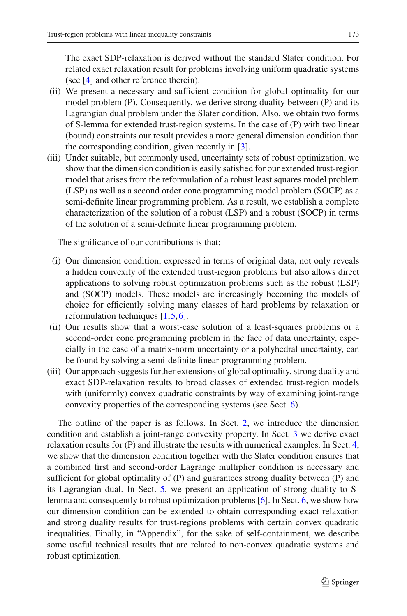The exact SDP-relaxation is derived without the standard Slater condition. For related exact relaxation result for problems involving uniform quadratic systems (see [\[4](#page-34-6)] and other reference therein).

- (ii) We present a necessary and sufficient condition for global optimality for our model problem (P). Consequently, we derive strong duality between (P) and its Lagrangian dual problem under the Slater condition. Also, we obtain two forms of S-lemma for extended trust-region systems. In the case of (P) with two linear (bound) constraints our result provides a more general dimension condition than the corresponding condition, given recently in [\[3\]](#page-34-5).
- (iii) Under suitable, but commonly used, uncertainty sets of robust optimization, we show that the dimension condition is easily satisfied for our extended trust-region model that arises from the reformulation of a robust least squares model problem (LSP) as well as a second order cone programming model problem (SOCP) as a semi-definite linear programming problem. As a result, we establish a complete characterization of the solution of a robust (LSP) and a robust (SOCP) in terms of the solution of a semi-definite linear programming problem.

The significance of our contributions is that:

- (i) Our dimension condition, expressed in terms of original data, not only reveals a hidden convexity of the extended trust-region problems but also allows direct applications to solving robust optimization problems such as the robust (LSP) and (SOCP) models. These models are increasingly becoming the models of choice for efficiently solving many classes of hard problems by relaxation or reformulation techniques [\[1](#page-34-7),[5,](#page-34-8)[6\]](#page-34-2).
- (ii) Our results show that a worst-case solution of a least-squares problems or a second-order cone programming problem in the face of data uncertainty, especially in the case of a matrix-norm uncertainty or a polyhedral uncertainty, can be found by solving a semi-definite linear programming problem.
- (iii) Our approach suggests further extensions of global optimality, strong duality and exact SDP-relaxation results to broad classes of extended trust-region models with (uniformly) convex quadratic constraints by way of examining joint-range convexity properties of the corresponding systems (see Sect. [6\)](#page-29-0).

The outline of the paper is as follows. In Sect. [2,](#page-3-0) we introduce the dimension condition and establish a joint-range convexity property. In Sect. [3](#page-8-0) we derive exact relaxation results for (P) and illustrate the results with numerical examples. In Sect. [4,](#page-14-0) we show that the dimension condition together with the Slater condition ensures that a combined first and second-order Lagrange multiplier condition is necessary and sufficient for global optimality of (P) and guarantees strong duality between (P) and its Lagrangian dual. In Sect. [5,](#page-21-0) we present an application of strong duality to Slemma and consequently to robust optimization problems [\[6](#page-34-2)]. In Sect. [6,](#page-29-0) we show how our dimension condition can be extended to obtain corresponding exact relaxation and strong duality results for trust-regions problems with certain convex quadratic inequalities. Finally, in "Appendix", for the sake of self-containment, we describe some useful technical results that are related to non-convex quadratic systems and robust optimization.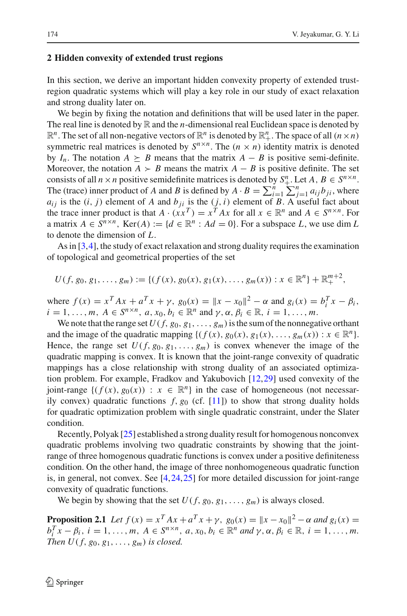# <span id="page-3-0"></span>**2 Hidden convexity of extended trust regions**

In this section, we derive an important hidden convexity property of extended trustregion quadratic systems which will play a key role in our study of exact relaxation and strong duality later on.

We begin by fixing the notation and definitions that will be used later in the paper. The real line is denoted by  $\mathbb R$  and the *n*-dimensional real Euclidean space is denoted by  $\mathbb{R}^n$ . The set of all non-negative vectors of  $\mathbb{R}^n$  is denoted by  $\mathbb{R}^n_+$ . The space of all  $(n \times n)$ symmetric real matrices is denoted by  $S^{n \times n}$ . The  $(n \times n)$  identity matrix is denoted by  $I_n$ . The notation  $A \succeq B$  means that the matrix  $A - B$  is positive semi-definite. Moreover, the notation  $A \succ B$  means the matrix  $A - B$  is positive definite. The set consists of all  $n \times n$  positive semidefinite matrices is denoted by  $S^n_+$ . Let  $A, B \in S^{n \times n}$ . The (trace) inner product of *A* and *B* is defined by  $A \cdot B = \sum_{i=1}^{n} \sum_{j=1}^{n} a_{ij} b_{ji}$ , where  $a_{ij}$  is the  $(i, j)$  element of *A* and  $b_{ij}$  is the  $(j, i)$  element of *B*. A useful fact about the trace inner product is that  $A \cdot (xx^T) = x^T A x$  for all  $x \in \mathbb{R}^n$  and  $A \in S^{n \times n}$ . For a matrix  $A \in S^{n \times n}$ , Ker $(A) := \{d \in \mathbb{R}^n : Ad = 0\}$ . For a subspace *L*, we use dim *L* to denote the dimension of *L*.

As in [\[3,](#page-34-5)[4\]](#page-34-6), the study of exact relaxation and strong duality requires the examination of topological and geometrical properties of the set

$$
U(f, g_0, g_1, \ldots, g_m) := \{ (f(x), g_0(x), g_1(x), \ldots, g_m(x)) : x \in \mathbb{R}^n \} + \mathbb{R}^{m+2}_+,
$$

where  $f(x) = x^T A x + a^T x + \gamma$ ,  $g_0(x) = ||x - x_0||^2 - \alpha$  and  $g_i(x) = b_i^T x - \beta_i$ ,  $i = 1, ..., m, A \in S^{n \times n}, a, x_0, b_i \in \mathbb{R}^n$  and  $\gamma, \alpha, \beta_i \in \mathbb{R}, i = 1, ..., m$ .

We note that the range set  $U(f, g_0, g_1, \ldots, g_m)$  is the sum of the nonnegative orthant and the image of the quadratic mapping  $\{(f(x), g_0(x), g_1(x), \ldots, g_m(x)) : x \in \mathbb{R}^n\}.$ Hence, the range set  $U(f, g_0, g_1, \ldots, g_m)$  is convex whenever the image of the quadratic mapping is convex. It is known that the joint-range convexity of quadratic mappings has a close relationship with strong duality of an associated optimization problem. For example, Fradkov and Yakubovich [\[12,](#page-34-9)[29\]](#page-35-8) used convexity of the joint-range  $\{(f(x), g_0(x)) : x \in \mathbb{R}^n\}$  in the case of homogeneous (not necessarily convex) quadratic functions  $f$ ,  $g_0$  (cf. [\[11\]](#page-34-10)) to show that strong duality holds for quadratic optimization problem with single quadratic constraint, under the Slater condition.

Recently, Polyak [\[25](#page-35-9)] established a strong duality result for homogenous nonconvex quadratic problems involving two quadratic constraints by showing that the jointrange of three homogenous quadratic functions is convex under a positive definiteness condition. On the other hand, the image of three nonhomogeneous quadratic function is, in general, not convex. See [\[4,](#page-34-6)[24](#page-35-10)[,25](#page-35-9)] for more detailed discussion for joint-range convexity of quadratic functions.

We begin by showing that the set  $U(f, g_0, g_1, \ldots, g_m)$  is always closed.

<span id="page-3-1"></span>**Proposition 2.1** *Let*  $f(x) = x^T A x + a^T x + \gamma$ ,  $g_0(x) = ||x - x_0||^2 - \alpha$  and  $g_i(x) =$  $b_i^T x - \beta_i$ ,  $i = 1, ..., m$ ,  $A \in S^{n \times n}$ ,  $a, x_0, b_i \in \mathbb{R}^n$  *and*  $\gamma, \alpha, \beta_i \in \mathbb{R}$ ,  $i = 1, ..., m$ . *Then*  $U(f, g_0, g_1, \ldots, g_m)$  *is closed.*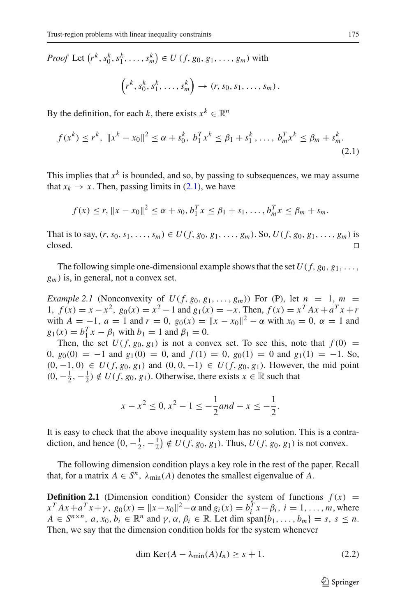*Proof* Let  $(r^k, s_0^k, s_1^k, \ldots, s_m^k) \in U$   $(f, g_0, g_1, \ldots, g_m)$  with

$$
\left(r^k, s_0^k, s_1^k, \ldots, s_m^k\right) \rightarrow \left(r, s_0, s_1, \ldots, s_m\right).
$$

<span id="page-4-0"></span>By the definition, for each *k*, there exists  $x^k \in \mathbb{R}^n$ 

$$
f(x^{k}) \leq r^{k}, \quad \|x^{k} - x_{0}\|^{2} \leq \alpha + s_{0}^{k}, \quad b_{1}^{T}x^{k} \leq \beta_{1} + s_{1}^{k}, \dots, \quad b_{m}^{T}x^{k} \leq \beta_{m} + s_{m}^{k}.
$$
\n
$$
(2.1)
$$

This implies that  $x^k$  is bounded, and so, by passing to subsequences, we may assume that  $x_k \to x$ . Then, passing limits in [\(2.1\)](#page-4-0), we have

$$
f(x) \le r, ||x - x_0||^2 \le \alpha + s_0, b_1^T x \le \beta_1 + s_1, ..., b_m^T x \le \beta_m + s_m.
$$

That is to say,  $(r, s_0, s_1, ..., s_m)$  ∈  $U(f, g_0, g_1, ..., g_m)$ . So,  $U(f, g_0, g_1, ..., g_m)$  is closed. □  $\Box$ closed.

The following simple one-dimensional example shows that the set  $U(f, g_0, g_1, \ldots, g_n)$ *gm*) is, in general, not a convex set.

*Example 2.1* (Nonconvexity of  $U(f, g_0, g_1, ..., g_m)$ ) For (P), let  $n = 1, m =$ 1,  $f(x) = x - x^2$ ,  $g_0(x) = x^2 - 1$  and  $g_1(x) = -x$ . Then,  $f(x) = x^T A x + a^T x + r$ with  $A = -1$ ,  $a = 1$  and  $r = 0$ ,  $g_0(x) = ||x - x_0||^2 - \alpha$  with  $x_0 = 0$ ,  $\alpha = 1$  and  $g_1(x) = b_1^T x - \beta_1$  with  $b_1 = 1$  and  $\beta_1 = 0$ .

Then, the set  $U(f, g_0, g_1)$  is not a convex set. To see this, note that  $f(0) =$ 0,  $g_0(0) = -1$  and  $g_1(0) = 0$ , and  $f(1) = 0$ ,  $g_0(1) = 0$  and  $g_1(1) = -1$ . So,  $(0, -1, 0)$  ∈  $U(f, g_0, g_1)$  and  $(0, 0, -1)$  ∈  $U(f, g_0, g_1)$ . However, the mid point  $(0, -\frac{1}{2}, -\frac{1}{2}) \notin U(f, g_0, g_1)$ . Otherwise, there exists  $x \in \mathbb{R}$  such that

$$
x - x^2 \le 0, x^2 - 1 \le -\frac{1}{2} and -x \le -\frac{1}{2}.
$$

It is easy to check that the above inequality system has no solution. This is a contradiction, and hence  $(0, -\frac{1}{2}, -\frac{1}{2}) \notin U(f, g_0, g_1)$ . Thus,  $U(f, g_0, g_1)$  is not convex.

The following dimension condition plays a key role in the rest of the paper. Recall that, for a matrix  $A \in S^n$ ,  $\lambda_{\min}(A)$  denotes the smallest eigenvalue of A.

<span id="page-4-1"></span>**Definition 2.1** (Dimension condition) Consider the system of functions  $f(x) =$  $x^T A x + a^T x + \gamma$ ,  $g_0(x) = ||x - x_0||^2 - \alpha$  and  $g_i(x) = b_i^T x - \beta_i$ ,  $i = 1, \ldots, m$ , where  $A \in S^{n \times n}$ ,  $a, x_0, b_i \in \mathbb{R}^n$  and  $\gamma, \alpha, \beta_i \in \mathbb{R}$ . Let dim span $\{b_1, \ldots, b_m\} = s, s \leq n$ . Then, we say that the dimension condition holds for the system whenever

$$
\dim \text{Ker}(A - \lambda_{\min}(A)I_n) \ge s + 1. \tag{2.2}
$$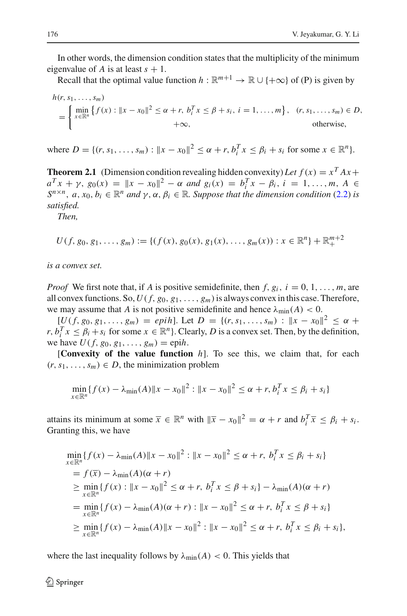In other words, the dimension condition states that the multiplicity of the minimum eigenvalue of *A* is at least  $s + 1$ .

Recall that the optimal value function  $h : \mathbb{R}^{m+1} \to \mathbb{R} \cup \{+\infty\}$  of (P) is given by

$$
h(r, s_1, ..., s_m)
$$
  
= 
$$
\begin{cases} \min_{x \in \mathbb{R}^n} \{f(x) : ||x - x_0||^2 \le \alpha + r, \ b_i^T x \le \beta + s_i, \ i = 1, ..., m \}, & (r, s_1, ..., s_m) \in D, \\ +\infty, & \text{otherwise,} \end{cases}
$$

<span id="page-5-0"></span>where  $D = \{(r, s_1, \ldots, s_m) : ||x - x_0||^2 \le \alpha + r, b_i^T x \le \beta_i + s_i \text{ for some } x \in \mathbb{R}^n\}.$ 

**Theorem 2.1** (Dimension condition revealing hidden convexity) Let  $f(x) = x^T A x +$  $a^T x + \gamma$ ,  $g_0(x) = ||x - x_0||^2 - \alpha$  *and*  $g_i(x) = b_i^T x - \beta_i$ ,  $i = 1, ..., m$ ,  $A \in$  $S^{n \times n}$ ,  $a, x_0, b_i \in \mathbb{R}^n$  *and*  $\gamma, \alpha, \beta_i \in \mathbb{R}$ *. Suppose that the dimension condition* [\(2.2\)](#page-4-1) *is satisfied.*

*Then,*

$$
U(f, g_0, g_1, \ldots, g_m) := \{ (f(x), g_0(x), g_1(x), \ldots, g_m(x)) : x \in \mathbb{R}^n \} + \mathbb{R}^{m+2}_+
$$

*is a convex set.*

*Proof* We first note that, if *A* is positive semidefinite, then  $f$ ,  $g_i$ ,  $i = 0, 1, \ldots, m$ , are all convex functions. So,  $U(f, g_0, g_1, \ldots, g_m)$  is always convex in this case. Therefore, we may assume that *A* is not positive semidefinite and hence  $\lambda_{\min}(A) < 0$ .

 $[U(f, g_0, g_1, \ldots, g_m) = epih]$ . Let  $D = \{(r, s_1, \ldots, s_m) : ||x - x_0||^2 \leq \alpha +$ *r*,  $b_i^T x \leq \beta_i + s_i$  for some  $x \in \mathbb{R}^n$ . Clearly, *D* is a convex set. Then, by the definition, we have  $U(f, g_0, g_1, \ldots, g_m) = \text{epi}h$ .

[**Convexity of the value function** *h*]. To see this, we claim that, for each  $(r, s_1, \ldots, s_m) \in D$ , the minimization problem

$$
\min_{x \in \mathbb{R}^n} \{f(x) - \lambda_{\min}(A) \|x - x_0\|^2 : \|x - x_0\|^2 \le \alpha + r, b_i^T x \le \beta_i + s_i\}
$$

attains its minimum at some  $\overline{x} \in \mathbb{R}^n$  with  $\|\overline{x} - x_0\|^2 = \alpha + r$  and  $b_i^T \overline{x} \le \beta_i + s_i$ . Granting this, we have

$$
\min_{x \in \mathbb{R}^n} \{f(x) - \lambda_{\min}(A) \|x - x_0\|^2 : \|x - x_0\|^2 \le \alpha + r, \ b_i^T x \le \beta_i + s_i\} \n= f(\overline{x}) - \lambda_{\min}(A)(\alpha + r) \n\ge \min_{x \in \mathbb{R}^n} \{f(x) : \|x - x_0\|^2 \le \alpha + r, \ b_i^T x \le \beta + s_i\} - \lambda_{\min}(A)(\alpha + r) \n= \min_{x \in \mathbb{R}^n} \{f(x) - \lambda_{\min}(A)(\alpha + r) : \|x - x_0\|^2 \le \alpha + r, \ b_i^T x \le \beta + s_i\} \n\ge \min_{x \in \mathbb{R}^n} \{f(x) - \lambda_{\min}(A) \|x - x_0\|^2 : \|x - x_0\|^2 \le \alpha + r, \ b_i^T x \le \beta_i + s_i\},
$$

where the last inequality follows by  $\lambda_{\min}(A) < 0$ . This yields that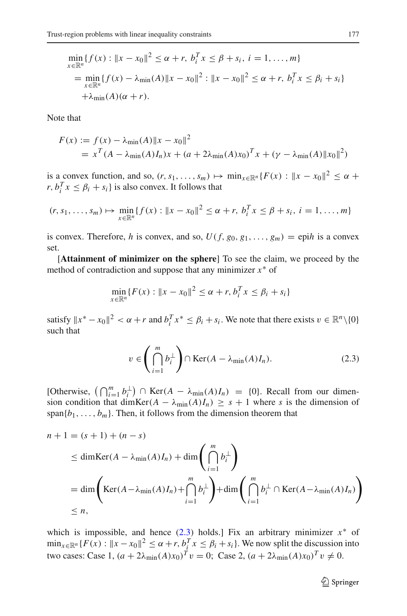$$
\min_{x \in \mathbb{R}^n} \{ f(x) : \|x - x_0\|^2 \le \alpha + r, \ b_i^T x \le \beta + s_i, \ i = 1, ..., m \}
$$
\n
$$
= \min_{x \in \mathbb{R}^n} \{ f(x) - \lambda_{\min}(A) \|x - x_0\|^2 : \|x - x_0\|^2 \le \alpha + r, \ b_i^T x \le \beta_i + s_i \}
$$
\n
$$
+ \lambda_{\min}(A)(\alpha + r).
$$

Note that

$$
F(x) := f(x) - \lambda_{\min}(A) \|x - x_0\|^2
$$
  
=  $x^T (A - \lambda_{\min}(A) I_n) x + (a + 2\lambda_{\min}(A) x_0)^T x + (\gamma - \lambda_{\min}(A) \|x_0\|^2)$ 

is a convex function, and so,  $(r, s_1, \ldots, s_m) \mapsto \min_{x \in \mathbb{R}^n} \{F(x) : ||x - x_0||^2 \leq \alpha +$ *r*,  $b_i^T x \leq \beta_i + s_i$  is also convex. It follows that

$$
(r, s_1, \ldots, s_m) \mapsto \min_{x \in \mathbb{R}^n} \{f(x) : ||x - x_0||^2 \le \alpha + r, \ b_i^T x \le \beta + s_i, \ i = 1, \ldots, m\}
$$

is convex. Therefore, *h* is convex, and so,  $U(f, g_0, g_1, \ldots, g_m) = \text{epi}h$  is a convex set.

[**Attainment of minimizer on the sphere**] To see the claim, we proceed by the method of contradiction and suppose that any minimizer *x*<sup>∗</sup> of

$$
\min_{x \in \mathbb{R}^n} \{ F(x) : ||x - x_0||^2 \le \alpha + r, b_i^T x \le \beta_i + s_i \}
$$

satisfy  $||x^* - x_0||^2 < \alpha + r$  and  $b_i^T x^* \le \beta_i + s_i$ . We note that there exists  $v \in \mathbb{R}^n \setminus \{0\}$ such that

$$
v \in \left(\bigcap_{i=1}^{m} b_i^{\perp}\right) \cap \text{Ker}(A - \lambda_{\text{min}}(A)I_n). \tag{2.3}
$$

<span id="page-6-0"></span>[Otherwise,  $\left(\bigcap_{i=1}^m b_i^{\perp}\right) \cap \text{Ker}(A - \lambda_{\min}(A)I_n) = \{0\}$ . Recall from our dimension condition that dimKer( $A - \lambda_{min}(A)I_n$ ) ≥  $s + 1$  where *s* is the dimension of span ${b_1, \ldots, b_m}$ . Then, it follows from the dimension theorem that

$$
n + 1 = (s + 1) + (n - s)
$$
  
\n
$$
\leq \dim \operatorname{Ker}(A - \lambda_{\min}(A)I_n) + \dim \left(\bigcap_{i=1}^{m} b_i^{\perp}\right)
$$
  
\n
$$
= \dim \left(\operatorname{Ker}(A - \lambda_{\min}(A)I_n) + \bigcap_{i=1}^{m} b_i^{\perp}\right) + \dim \left(\bigcap_{i=1}^{m} b_i^{\perp} \cap \operatorname{Ker}(A - \lambda_{\min}(A)I_n)\right)
$$
  
\n
$$
\leq n,
$$

which is impossible, and hence  $(2.3)$  holds.] Fix an arbitrary minimizer  $x^*$  of  $\min_{x \in \mathbb{R}^n} \{F(x) : ||x - x_0||^2 \le \alpha + r, b_i^T x \le \beta_i + s_i\}$ . We now split the discussion into two cases: Case 1,  $(a + 2\lambda_{\min}(A)x_0)^T v = 0$ ; Case 2,  $(a + 2\lambda_{\min}(A)x_0)^T v \neq 0$ .

<sup>2</sup> Springer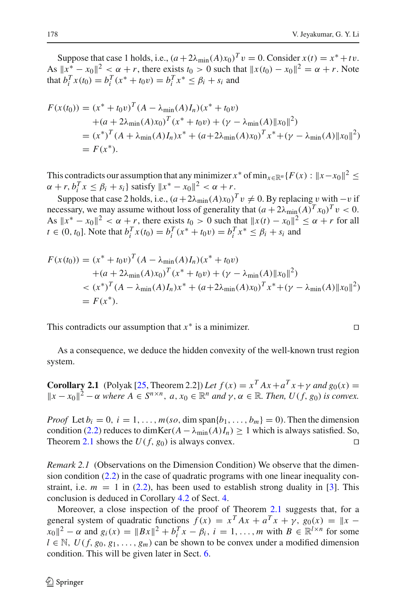Suppose that case 1 holds, i.e.,  $(a + 2\lambda_{\min}(A)x_0)^T v = 0$ . Consider  $x(t) = x^* + tv$ . As  $||x^* - x_0||^2 < \alpha + r$ , there exists  $t_0 > 0$  such that  $||x(t_0) - x_0||^2 = \alpha + r$ . Note that  $b_i^T x(t_0) = b_i^T (x^* + t_0 v) = b_i^T x^* \le \beta_i + s_i$  and

$$
F(x(t_0)) = (x^* + t_0 v)^T (A - \lambda_{\min}(A)I_n)(x^* + t_0 v)
$$
  
+  $(a + 2\lambda_{\min}(A)x_0)^T (x^* + t_0 v) + (\gamma - \lambda_{\min}(A) ||x_0||^2)$   
=  $(x^*)^T (A + \lambda_{\min}(A)I_n)x^* + (a + 2\lambda_{\min}(A)x_0)^T x^* + (\gamma - \lambda_{\min}(A) ||x_0||^2)$   
=  $F(x^*).$ 

This contradicts our assumption that any minimizer  $x^*$  of min<sub> $x \in \mathbb{R}^n$ </sub> { $F(x): ||x-x_0||^2 \le$  $\alpha + r, b_i^T x \le \beta_i + s_i$ } satisfy  $||x^* - x_0||^2 < \alpha + r$ .

Suppose that case 2 holds, i.e.,  $(a+2\lambda_{\min}(A)x_0)^T v \neq 0$ . By replacing v with  $-v$  if necessary, we may assume without loss of generality that  $(a + 2\lambda_{\min}(A)^T x_0)^T v < 0$ . As  $||x^* - x_0||^2 < \alpha + r$ , there exists  $t_0 > 0$  such that  $||x(t) - x_0||^2 \leq \alpha + r$  for all *t*  $\in (0, t_0]$ . Note that  $b_i^T x(t_0) = b_i^T (x^* + t_0 v) = b_i^T x^* \le \beta_i + s_i$  and

$$
F(x(t_0)) = (x^* + t_0 v)^T (A - \lambda_{\min}(A)I_n)(x^* + t_0 v)
$$
  
+  $(a + 2\lambda_{\min}(A)x_0)^T (x^* + t_0 v) + (\gamma - \lambda_{\min}(A) ||x_0||^2)$   
 $< (x^*)^T (A - \lambda_{\min}(A)I_n)x^* + (a + 2\lambda_{\min}(A)x_0)^T x^* + (\gamma - \lambda_{\min}(A) ||x_0||^2)$   
=  $F(x^*).$ 

This contradicts our assumption that  $x^*$  is a minimizer.

As a consequence, we deduce the hidden convexity of the well-known trust region system.

**Corollary 2.1** (Polyak [\[25](#page-35-9), Theorem 2.2]) Let  $f(x) = x^T A x + a^T x + \gamma$  and  $g_0(x) =$  $||x - x_0||^2$  − α *where*  $A \in S^{n \times n}$ ,  $a, x_0 \in \mathbb{R}^n$  *and*  $\gamma, \alpha \in \mathbb{R}$ *. Then, U*(*f*, *g*<sub>0</sub>) *is convex.* 

*Proof* Let  $b_i = 0$ ,  $i = 1, \ldots, m(s_0, \text{dim span}\{b_1, \ldots, b_m\} = 0)$ . Then the dimension condition [\(2.2\)](#page-4-1) reduces to dimKer( $A - \lambda_{min}(A)I_n$ ) ≥ 1 which is always satisfied. So, Theorem [2.1](#page-5-0) shows the  $U(f, g_0)$  is always convex.

*Remark 2.1* (Observations on the Dimension Condition) We observe that the dimension condition [\(2.2\)](#page-4-1) in the case of quadratic programs with one linear inequality constraint, i.e.  $m = 1$  in [\(2.2\)](#page-4-1), has been used to establish strong duality in [\[3\]](#page-34-5). This conclusion is deduced in Corollary [4.2](#page-18-0) of Sect. [4.](#page-14-0)

Moreover, a close inspection of the proof of Theorem [2.1](#page-5-0) suggests that, for a general system of quadratic functions  $f(x) = x^T A x + a^T x + \gamma$ ,  $g_0(x) = ||x - x||^2$  $||x_0||^2 - \alpha$  and  $g_i(x) = ||Bx||^2 + b_i^T x - \beta_i, i = 1, ..., m$  with  $B \in \mathbb{R}^{l \times n}$  for some  $l \in \mathbb{N}, U(f, g_0, g_1, \ldots, g_m)$  can be shown to be convex under a modified dimension condition. This will be given later in Sect. [6.](#page-29-0)

$$
\Box
$$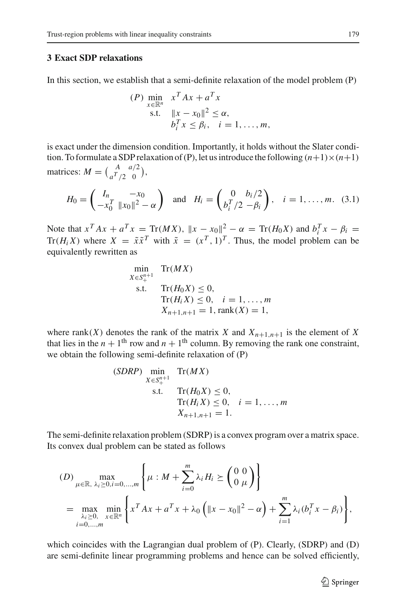# <span id="page-8-0"></span>**3 Exact SDP relaxations**

In this section, we establish that a semi-definite relaxation of the model problem (P)

$$
(P) \min_{x \in \mathbb{R}^n} x^T A x + a^T x
$$
  
s.t. 
$$
\|x - x_0\|^2 \le \alpha,
$$

$$
b_i^T x \le \beta_i, \quad i = 1, ..., m,
$$

is exact under the dimension condition. Importantly, it holds without the Slater condition. To formulate a SDP relaxation of (P), let us introduce the following  $(n+1)\times(n+1)$ matrices:  $M = \begin{pmatrix} A & a/2 \\ a^T/2 & 0 \end{pmatrix}$ ,

$$
H_0 = \begin{pmatrix} I_n & -x_0 \\ -x_0^T & ||x_0||^2 - \alpha \end{pmatrix} \text{ and } H_i = \begin{pmatrix} 0 & b_i/2 \\ b_i^T/2 & -\beta_i \end{pmatrix}, \quad i = 1, \dots, m. \quad (3.1)
$$

<span id="page-8-1"></span>Note that  $x^T A x + a^T x = \text{Tr}(MX)$ ,  $||x - x_0||^2 - \alpha = \text{Tr}(H_0 X)$  and  $b_i^T x - \beta_i =$ Tr( $H_i X$ ) where  $X = \tilde{x} \tilde{x}^T$  with  $\tilde{x} = (x^T, 1)^T$ . Thus, the model problem can be equivalently rewritten as

$$
\min_{X \in S_+^{n+1}} \text{Tr}(MX)
$$
  
s.t. 
$$
\text{Tr}(H_0X) \le 0,
$$

$$
\text{Tr}(H_iX) \le 0, \quad i = 1, ..., m
$$

$$
X_{n+1,n+1} = 1, \text{rank}(X) = 1,
$$

where  $rank(X)$  denotes the rank of the matrix *X* and  $X_{n+1,n+1}$  is the element of *X* that lies in the  $n + 1$ <sup>th</sup> row and  $n + 1$ <sup>th</sup> column. By removing the rank one constraint, we obtain the following semi-definite relaxation of (P)

(SDRP) min  
\n
$$
X \in S^{n+1}_{+}
$$
 Tr(MX)  
\ns.t. Tr(H<sub>0</sub>X)  $\leq 0$ ,  
\nTr(H<sub>i</sub>X)  $\leq 0$ ,  $i = 1,..., m$   
\n $X_{n+1,n+1} = 1$ .

The semi-definite relaxation problem (SDRP) is a convex program over a matrix space. Its convex dual problem can be stated as follows

$$
(D) \max_{\mu \in \mathbb{R}, \ \lambda_i \ge 0, i=0,...,m} \left\{ \mu : M + \sum_{i=0}^{m} \lambda_i H_i \ge \begin{pmatrix} 0 & 0 \\ 0 & \mu \end{pmatrix} \right\}
$$
  
= 
$$
\max_{\substack{\lambda_i \ge 0, \ x \in \mathbb{R}^n \\ i=0,...,m}} \left\{ x^T A x + a^T x + \lambda_0 \left( ||x - x_0||^2 - \alpha \right) + \sum_{i=1}^{m} \lambda_i (b_i^T x - \beta_i) \right\},
$$

which coincides with the Lagrangian dual problem of (P). Clearly, (SDRP) and (D) are semi-definite linear programming problems and hence can be solved efficiently,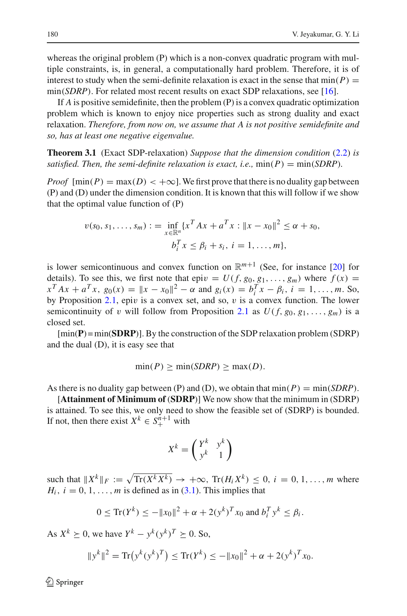whereas the original problem (P) which is a non-convex quadratic program with multiple constraints, is, in general, a computationally hard problem. Therefore, it is of interest to study when the semi-definite relaxation is exact in the sense that  $min(P)$  = min(*SDRP*). For related most recent results on exact SDP relaxations, see [\[16](#page-35-11)].

If *A* is positive semidefinite, then the problem (P) is a convex quadratic optimization problem which is known to enjoy nice properties such as strong duality and exact relaxation. *Therefore, from now on, we assume that A is not positive semidefinite and so, has at least one negative eigenvalue.*

<span id="page-9-0"></span>**Theorem 3.1** (Exact SDP-relaxation) *Suppose that the dimension condition* [\(2.2\)](#page-4-1) *is satisfied. Then, the semi-definite relaxation is exact, i.e.,*  $min(P) = min(SDRP)$ .

*Proof*  $[\min(P) = \max(D) < +\infty]$ . We first prove that there is no duality gap between (P) and (D) under the dimension condition. It is known that this will follow if we show that the optimal value function of (P)

$$
v(s_0, s_1, \dots, s_m) := \inf_{x \in \mathbb{R}^n} \{x^T A x + a^T x : ||x - x_0||^2 \le \alpha + s_0, b_i^T x \le \beta_i + s_i, i = 1, \dots, m\},\
$$

is lower semicontinuous and convex function on  $\mathbb{R}^{m+1}$  (See, for instance [\[20](#page-35-12)] for details). To see this, we first note that epi $v = U(f, g_0, g_1, \ldots, g_m)$  where  $f(x) =$  $x^T A x + a^T x$ ,  $g_0(x) = ||x - x_0||^2 - \alpha$  and  $g_i(x) = b_i^T x - \beta_i$ ,  $i = 1, ..., m$ . So, by Proposition  $2.1$ , epiv is a convex set, and so, v is a convex function. The lower semicontinuity of v will follow from Proposition [2.1](#page-3-1) as  $U(f, g_0, g_1, \ldots, g_m)$  is a closed set.

[min(**P**) = min(**SDRP**)]. By the construction of the SDP relaxation problem (SDRP) and the dual (D), it is easy see that

$$
\min(P) \ge \min(SDRP) \ge \max(D).
$$

As there is no duality gap between (P) and (D), we obtain that  $min(P) = min(SDRP)$ .

[**Attainment of Minimum of** (**SDRP**)] We now show that the minimum in (SDRP) is attained. To see this, we only need to show the feasible set of (SDRP) is bounded. If not, then there exist  $X^k \in S^{n+1}_+$  with

$$
X^k = \begin{pmatrix} Y^k & y^k \\ y^k & 1 \end{pmatrix}
$$

such that  $||X^k||_F := \sqrt{\text{Tr}(X^k X^k)} \to +\infty$ ,  $\text{Tr}(H_i X^k) \leq 0$ ,  $i = 0, 1, ..., m$  where  $H_i$ ,  $i = 0, 1, \ldots, m$  is defined as in  $(3.1)$ . This implies that

$$
0 \le \text{Tr}(Y^k) \le -\|x_0\|^2 + \alpha + 2(y^k)^T x_0 \text{ and } b_i^T y^k \le \beta_i.
$$

As  $X^k \geq 0$ , we have  $Y^k - y^k(y^k)^T \geq 0$ . So,

$$
||y^k||^2 = \text{Tr}(y^k(y^k)^T) \le \text{Tr}(Y^k) \le -||x_0||^2 + \alpha + 2(y^k)^T x_0.
$$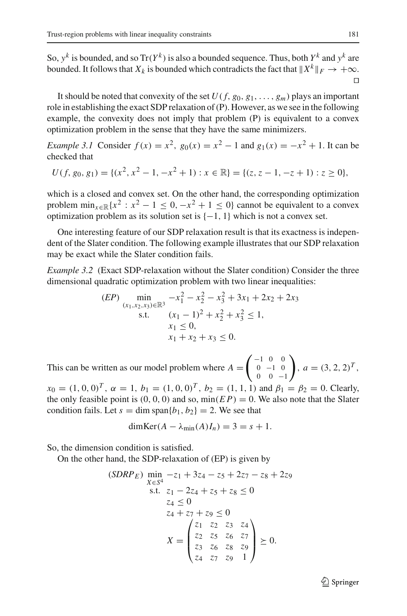So,  $y^k$  is bounded, and so Tr( $Y^k$ ) is also a bounded sequence. Thus, both  $Y^k$  and  $y^k$  are bounded. It follows that  $X_k$  is bounded which contradicts the fact that  $X^k \rVert_F \to +\infty$ .  $\Box$ 

It should be noted that convexity of the set  $U(f, g_0, g_1, \ldots, g_m)$  plays an important role in establishing the exact SDP relaxation of (P). However, as we see in the following example, the convexity does not imply that problem (P) is equivalent to a convex optimization problem in the sense that they have the same minimizers.

*Example 3.1* Consider  $f(x) = x^2$ ,  $g_0(x) = x^2 - 1$  and  $g_1(x) = -x^2 + 1$ . It can be checked that

$$
U(f, g_0, g_1) = \{ (x^2, x^2 - 1, -x^2 + 1) : x \in \mathbb{R} \} = \{ (z, z - 1, -z + 1) : z \ge 0 \},
$$

which is a closed and convex set. On the other hand, the corresponding optimization problem  $\min_{x \in \mathbb{R}} \{x^2 : x^2 - 1 \le 0, -x^2 + 1 \le 0\}$  cannot be equivalent to a convex optimization problem as its solution set is  $\{-1, 1\}$  which is not a convex set.

One interesting feature of our SDP relaxation result is that its exactness is independent of the Slater condition. The following example illustrates that our SDP relaxation may be exact while the Slater condition fails.

<span id="page-10-0"></span>*Example 3.2* (Exact SDP-relaxation without the Slater condition) Consider the three dimensional quadratic optimization problem with two linear inequalities:

$$
(EP) \min_{\substack{(x_1, x_2, x_3) \in \mathbb{R}^3 \\ \text{s.t.}}} -x_1^2 - x_2^2 - x_3^2 + 3x_1 + 2x_2 + 2x_3
$$
  
s.t. 
$$
\frac{(x_1 - 1)^2 + x_2^2 + x_3^2 \le 1}{x_1 \le 0},
$$

$$
x_1 + x_2 + x_3 \le 0.
$$

This can be written as our model problem where  $A =$  $\sqrt{-1}$  0 0  $0 -1 0$ 0 0 −1  $\bigg), a = (3, 2, 2)^T,$ 

 $x_0 = (1, 0, 0)^T$ ,  $\alpha = 1$ ,  $b_1 = (1, 0, 0)^T$ ,  $b_2 = (1, 1, 1)$  and  $\beta_1 = \beta_2 = 0$ . Clearly, the only feasible point is  $(0, 0, 0)$  and so,  $min(EP) = 0$ . We also note that the Slater condition fails. Let  $s = \dim \text{span}{b_1, b_2} = 2$ . We see that

$$
\dim \text{Ker}(A - \lambda_{\min}(A)I_n) = 3 = s + 1.
$$

So, the dimension condition is satisfied.

On the other hand, the SDP-relaxation of (EP) is given by

$$
(SDRP_E) \min_{X \in S^4} -z_1 + 3z_4 - z_5 + 2z_7 - z_8 + 2z_9
$$
  
s.t.  $z_1 - 2z_4 + z_5 + z_8 \le 0$   
 $z_4 \le 0$   
 $z_4 + z_7 + z_9 \le 0$   

$$
X = \begin{pmatrix} z_1 & z_2 & z_3 & z_4 \\ z_2 & z_5 & z_6 & z_7 \\ z_3 & z_6 & z_8 & z_9 \\ z_4 & z_7 & z_9 & 1 \end{pmatrix} \succeq 0.
$$

 $\mathcal{D}$  Springer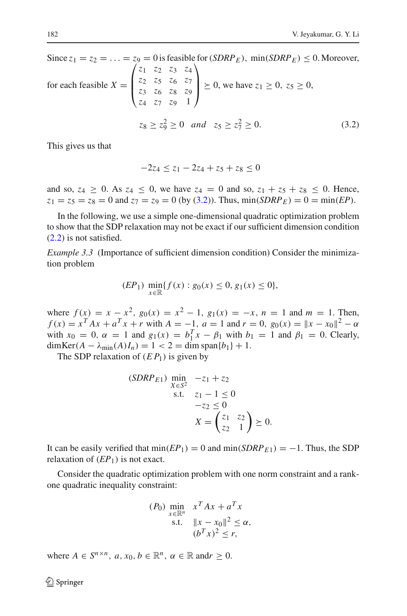Since 
$$
z_1 = z_2 = ... = z_9 = 0
$$
 is feasible for  $(SDRP_E)$ , min $(SDRP_E) \le 0$ . Moreover,  
for each feasible  $X = \begin{pmatrix} z_1 & z_2 & z_3 & z_4 \\ z_2 & z_5 & z_6 & z_7 \\ z_3 & z_6 & z_8 & z_9 \\ z_4 & z_7 & z_9 & 1 \end{pmatrix} \succeq 0$ , we have  $z_1 \ge 0$ ,  $z_5 \ge 0$ ,  
 $z_8 \ge z_9^2 \ge 0$  and  $z_5 \ge z_7^2 \ge 0$ . (3.2)

<span id="page-11-0"></span>This gives us that

$$
-2z_4 \le z_1 - 2z_4 + z_5 + z_8 \le 0
$$

and so,  $z_4 \ge 0$ . As  $z_4 \le 0$ , we have  $z_4 = 0$  and so,  $z_1 + z_5 + z_8 \le 0$ . Hence,  $z_1 = z_5 = z_8 = 0$  and  $z_7 = z_9 = 0$  (by [\(3.2\)](#page-11-0)). Thus,  $\min(SDRP_E) = 0 = \min(EP)$ .

In the following, we use a simple one-dimensional quadratic optimization problem to show that the SDP relaxation may not be exact if our sufficient dimension condition [\(2.2\)](#page-4-1) is not satisfied.

*Example 3.3* (Importance of sufficient dimension condition) Consider the minimization problem

$$
(EP_1) \ \min_{x \in \mathbb{R}} \{ f(x) : g_0(x) \le 0, g_1(x) \le 0 \},\
$$

where  $f(x) = x - x^2$ ,  $g_0(x) = x^2 - 1$ ,  $g_1(x) = -x$ ,  $n = 1$  and  $m = 1$ . Then,  $f(x) = x^T A x + a^T x + r$  with  $A = -1$ ,  $a = 1$  and  $r = 0$ ,  $g_0(x) = ||x - x_0||^2 - \alpha$ with  $x_0 = 0$ ,  $\alpha = 1$  and  $g_1(x) = b_1^T x - \beta_1$  with  $b_1 = 1$  and  $\beta_1 = 0$ . Clearly,  $dim \text{Ker}(A - \lambda_{\min}(A)I_n) = 1 < 2 = \dim \text{span}{b_1} + 1.$ 

The SDP relaxation of  $(E P_1)$  is given by

$$
(SDRP_{E1}) \min_{X \in S^2} -z_1 + z_2
$$
  
s.t.  $z_1 - 1 \le 0$   
 $-z_2 \le 0$   
 $X = \begin{pmatrix} z_1 & z_2 \\ z_2 & 1 \end{pmatrix} \ge 0.$ 

It can be easily verified that  $min(EP_1) = 0$  and  $min(SDRP_{E_1}) = -1$ . Thus, the SDP relaxation of  $(EP_1)$  is not exact.

Consider the quadratic optimization problem with one norm constraint and a rankone quadratic inequality constraint:

$$
(P_0) \min_{\substack{x \in \mathbb{R}^n \\ \text{s.t.} \quad ||x - x_0||^2 \le \alpha, \\ (b^T x)^2 \le r,}} \quad x^T A x + a^T x
$$

where  $A \in S^{n \times n}$ ,  $a, x_0, b \in \mathbb{R}^n$ ,  $\alpha \in \mathbb{R}$  and  $r > 0$ .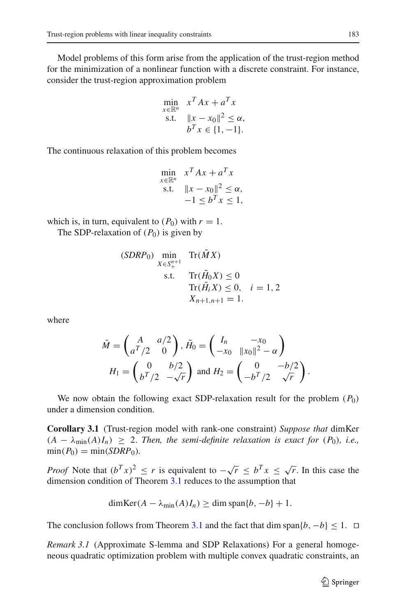Model problems of this form arise from the application of the trust-region method for the minimization of a nonlinear function with a discrete constraint. For instance, consider the trust-region approximation problem

$$
\min_{x \in \mathbb{R}^n} x^T A x + a^T x
$$
\n
$$
\text{s.t.} \quad \|x - x_0\|^2 \le \alpha,
$$
\n
$$
b^T x \in \{1, -1\}.
$$

The continuous relaxation of this problem becomes

$$
\min_{x \in \mathbb{R}^n} x^T A x + a^T x
$$
  
s.t. 
$$
\|x - x_0\|^2 \le \alpha,
$$

$$
-1 \le b^T x \le 1,
$$

which is, in turn, equivalent to  $(P_0)$  with  $r = 1$ .

The SDP-relaxation of  $(P_0)$  is given by

$$
(SDRP0) \min_{X \in S_{+}^{n+1}} \text{Tr}(\tilde{M}X)
$$
  
s.t. 
$$
\text{Tr}(\tilde{H}_0 X) \le 0
$$

$$
\text{Tr}(\tilde{H}_i X) \le 0, \quad i = 1, 2
$$

$$
X_{n+1,n+1} = 1.
$$

where

$$
\tilde{M} = \begin{pmatrix} A & a/2 \\ a^T/2 & 0 \end{pmatrix}, \tilde{H}_0 = \begin{pmatrix} I_n & -x_0 \\ -x_0 & ||x_0||^2 - \alpha \end{pmatrix}
$$

$$
H_1 = \begin{pmatrix} 0 & b/2 \\ b^T/2 & -\sqrt{r} \end{pmatrix} \text{ and } H_2 = \begin{pmatrix} 0 & -b/2 \\ -b^T/2 & \sqrt{r} \end{pmatrix}.
$$

We now obtain the following exact SDP-relaxation result for the problem (*P*0) under a dimension condition.

**Corollary 3.1** (Trust-region model with rank-one constraint) *Suppose that* dimKer  $(A - \lambda_{\min}(A)I_n) \geq 2$ . Then, the semi-definite relaxation is exact for  $(P_0)$ , i.e.,  $\min(P_0) = \min(SDRP_0)$ .

*Proof* Note that  $(b^T x)^2 \le r$  is equivalent to  $-\sqrt{r} \le b^T x \le \sqrt{r}$ . In this case the dimension condition of Theorem [3.1](#page-9-0) reduces to the assumption that

$$
\dim \text{Ker}(A - \lambda_{\min}(A)I_n) \ge \dim \text{span}\{b, -b\} + 1.
$$

The conclusion follows from Theorem [3.1](#page-9-0) and the fact that dim span $\{b, -b\} \leq 1$ .  $\Box$ 

*Remark 3.1* (Approximate S-lemma and SDP Relaxations) For a general homogeneous quadratic optimization problem with multiple convex quadratic constraints, an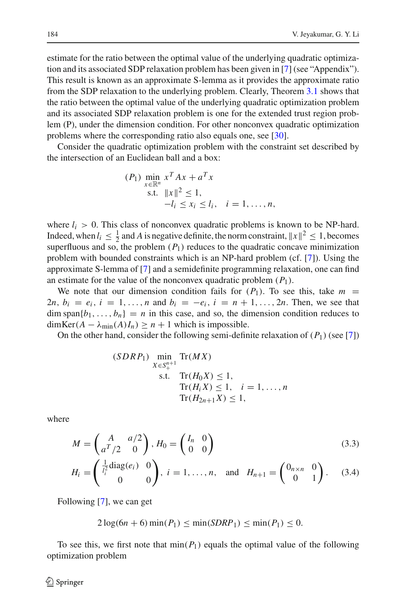estimate for the ratio between the optimal value of the underlying quadratic optimization and its associated SDP relaxation problem has been given in [\[7\]](#page-34-11) (see "Appendix"). This result is known as an approximate S-lemma as it provides the approximate ratio from the SDP relaxation to the underlying problem. Clearly, Theorem [3.1](#page-9-0) shows that the ratio between the optimal value of the underlying quadratic optimization problem and its associated SDP relaxation problem is one for the extended trust region problem (P), under the dimension condition. For other nonconvex quadratic optimization problems where the corresponding ratio also equals one, see [\[30](#page-35-13)].

Consider the quadratic optimization problem with the constraint set described by the intersection of an Euclidean ball and a box:

$$
(P_1) \min_{x \in \mathbb{R}^n} x^T A x + a^T x
$$
  
s.t.  $||x||^2 \le 1$ ,  
 $-l_i \le x_i \le l_i$ ,  $i = 1, ..., n$ ,

where  $l_i > 0$ . This class of nonconvex quadratic problems is known to be NP-hard. Indeed, when  $l_i \leq \frac{1}{2}$  and *A* is negative definite, the norm constraint,  $||x||^2 \leq 1$ , becomes superfluous and so, the problem  $(P_1)$  reduces to the quadratic concave minimization problem with bounded constraints which is an NP-hard problem (cf. [\[7](#page-34-11)]). Using the approximate S-lemma of [\[7\]](#page-34-11) and a semidefinite programming relaxation, one can find an estimate for the value of the nonconvex quadratic problem  $(P_1)$ .

We note that our dimension condition fails for  $(P_1)$ . To see this, take  $m =$ 2*n*,  $b_i = e_i$ ,  $i = 1, ..., n$  and  $b_i = -e_i$ ,  $i = n + 1, ..., 2n$ . Then, we see that  $\dim \text{span}\{b_1,\ldots,b_n\} = n$  in this case, and so, the dimension condition reduces to  $dim \text{Ker}(A - \lambda_{\min}(A)I_n) \geq n + 1$  which is impossible.

On the other hand, consider the following semi-definite relaxation of  $(P_1)$  (see [\[7](#page-34-11)])

$$
(SDRP_1) \min_{X \in S_+^{n+1}} \text{Tr}(MX)
$$
  
s.t.  $\text{Tr}(H_0X) \le 1$ ,  
 $\text{Tr}(H_iX) \le 1, \quad i = 1, ..., n$   
 $\text{Tr}(H_{2n+1}X) \le 1$ ,

<span id="page-13-0"></span>where

$$
M = \begin{pmatrix} A & a/2 \\ a^T/2 & 0 \end{pmatrix}, H_0 = \begin{pmatrix} I_n & 0 \\ 0 & 0 \end{pmatrix}
$$
 (3.3)

$$
H_i = \begin{pmatrix} \frac{1}{l_i^2} \text{diag}(e_i) & 0 \\ 0 & 0 \end{pmatrix}, \ i = 1, \dots, n, \text{ and } H_{n+1} = \begin{pmatrix} 0_{n \times n} & 0 \\ 0 & 1 \end{pmatrix}. \tag{3.4}
$$

Following [\[7](#page-34-11)], we can get

$$
2\log(6n+6)\min(P_1) \leq \min(SDRP_1) \leq \min(P_1) \leq 0.
$$

To see this, we first note that  $\min(P_1)$  equals the optimal value of the following optimization problem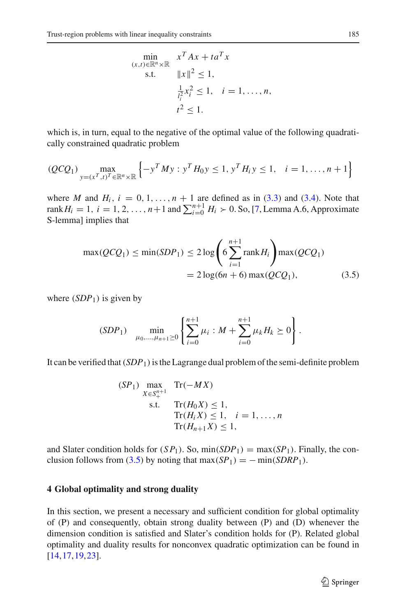$$
\min_{\substack{(x,t)\in\mathbb{R}^n\times\mathbb{R} \\ \text{s.t.} \quad ||x||^2 \le 1, \\ \frac{1}{l_i^2}x_i^2 \le 1, \\ t^2 \le 1. \quad i = 1,\dots, n, \\ t^2 \le 1.
$$

which is, in turn, equal to the negative of the optimal value of the following quadratically constrained quadratic problem

$$
(QCQ_1) \max_{y=(x^T, t)^T \in \mathbb{R}^n \times \mathbb{R}} \left\{ -y^T M y : y^T H_0 y \le 1, y^T H_i y \le 1, i = 1, ..., n+1 \right\}
$$

where *M* and  $H_i$ ,  $i = 0, 1, \ldots, n + 1$  are defined as in [\(3.3\)](#page-13-0) and [\(3.4\)](#page-13-0). Note that rank  $H_i = 1, i = 1, 2, ..., n+1$  and  $\sum_{i=0}^{n+1} H_i > 0$ . So, [\[7](#page-34-11), Lemma A.6, Approximate S-lemma] implies that

$$
\max(QCQ_1) \le \min(SDP_1) \le 2\log\left(6\sum_{i=1}^{n+1} \text{rank}\,H_i\right) \max(QCQ_1)
$$

$$
= 2\log(6n+6)\max(QCQ_1),\tag{3.5}
$$

<span id="page-14-1"></span>where  $(SDP_1)$  is given by

$$
(SDP_1) \quad \min_{\mu_0, ..., \mu_{n+1} \ge 0} \left\{ \sum_{i=0}^{n+1} \mu_i : M + \sum_{i=0}^{n+1} \mu_k H_k \ge 0 \right\}.
$$

It can be verified that  $(SDP<sub>1</sub>)$  is the Lagrange dual problem of the semi-definite problem

$$
(SP1) \max_{X \in S_{+}^{n+1}}
$$
 Tr( $-MX$ )  
s.t. Tr( $H0X$ )  $\leq 1$ ,  
Tr( $HiX$ )  $\leq 1$ ,  $i = 1,..., n$   
Tr( $Hn+1X$ )  $\leq 1$ ,

and Slater condition holds for  $(SP_1)$ . So,  $min(SDP_1) = max(SP_1)$ . Finally, the con-clusion follows from [\(3.5\)](#page-14-1) by noting that max( $SP_1$ ) = − min(*SDRP*<sub>1</sub>).

# <span id="page-14-0"></span>**4 Global optimality and strong duality**

<span id="page-14-2"></span>In this section, we present a necessary and sufficient condition for global optimality of (P) and consequently, obtain strong duality between (P) and (D) whenever the dimension condition is satisfied and Slater's condition holds for (P). Related global optimality and duality results for nonconvex quadratic optimization can be found in [\[14](#page-35-14)[,17](#page-35-15),[19](#page-35-16),[23\]](#page-35-17).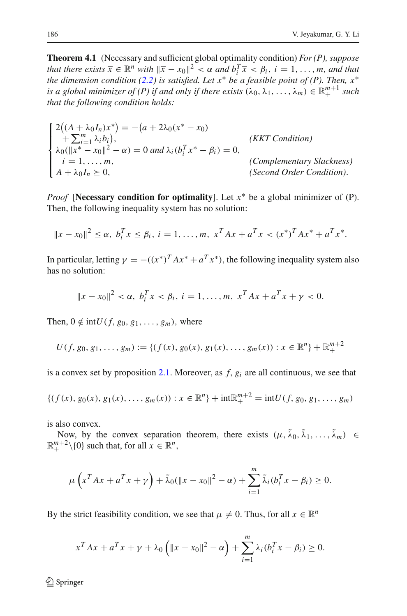**Theorem 4.1** (Necessary and sufficient global optimality condition) *For (P), suppose that there exists*  $\overline{x} \in \mathbb{R}^n$  *with*  $\|\overline{x} - x_0\|^2 < \alpha$  *and*  $b_i^T \overline{x} < \beta_i$ ,  $i = 1, ..., m$ , *and that the dimension condition [\(2.2\)](#page-4-1) is satisfied. Let x*<sup>∗</sup> *be a feasible point of (P). Then, x*<sup>∗</sup> *is a global minimizer of (P) if and only if there exists*  $(\lambda_0, \lambda_1, ..., \lambda_m) \in \mathbb{R}^{m+1}_+$  *such that the following condition holds:*

$$
\begin{cases}\n2((A + \lambda_0 I_n)x^*) = -(a + 2\lambda_0(x^* - x_0) \\
+ \sum_{i=1}^m \lambda_i b_i), \\
\lambda_0(\|x^* - x_0\|^2 - \alpha) = 0 \text{ and } \lambda_i(b_i^T x^* - \beta_i) = 0, \\
i = 1, ..., m, \\
A + \lambda_0 I_n \succeq 0, \quad \text{(Second Order Condition)}.\n\end{cases}
$$
\n(KKT Condition)

*Proof* [**Necessary condition for optimality**]. Let *x*<sup>∗</sup> be a global minimizer of (P). Then, the following inequality system has no solution:

$$
||x - x_0||^2 \le \alpha, \ b_i^T x \le \beta_i, \ i = 1, \dots, m, \ x^T A x + a^T x < (x^*)^T A x^* + a^T x^*.
$$

In particular, letting  $\gamma = -((x^*)^T A x^* + a^T x^*)$ , the following inequality system also has no solution:

$$
||x - x_0||^2 < \alpha, \ b_i^T x < \beta_i, \ i = 1, \dots, m, \ x^T A x + a^T x + \gamma < 0.
$$

Then,  $0 \notin \text{int}U(f, g_0, g_1, \ldots, g_m)$ , where

$$
U(f, g_0, g_1, \ldots, g_m) := \{ (f(x), g_0(x), g_1(x), \ldots, g_m(x)) : x \in \mathbb{R}^n \} + \mathbb{R}^{m+2}_+
$$

is a convex set by proposition [2.1.](#page-5-0) Moreover, as *f*, *gi* are all continuous, we see that

$$
\{(f(x), g_0(x), g_1(x), \ldots, g_m(x)) : x \in \mathbb{R}^n\} + \mathrm{int} \mathbb{R}^{m+2}_+ = \mathrm{int}U(f, g_0, g_1, \ldots, g_m)
$$

is also convex.

Now, by the convex separation theorem, there exists  $(\mu, \tilde{\lambda}_0, \tilde{\lambda}_1, \ldots, \tilde{\lambda}_m) \in$  $\mathbb{R}^{m+2}_+ \setminus \{0\}$  such that, for all  $x \in \mathbb{R}^n$ ,

$$
\mu\left(x^T A x + a^T x + \gamma\right) + \tilde{\lambda}_0(\|x - x_0\|^2 - \alpha) + \sum_{i=1}^m \tilde{\lambda}_i(b_i^T x - \beta_i) \ge 0.
$$

By the strict feasibility condition, we see that  $\mu \neq 0$ . Thus, for all  $x \in \mathbb{R}^n$ 

$$
x^{T}Ax + a^{T}x + \gamma + \lambda_0 \left( \|x - x_0\|^2 - \alpha \right) + \sum_{i=1}^{m} \lambda_i (b_i^{T}x - \beta_i) \ge 0.
$$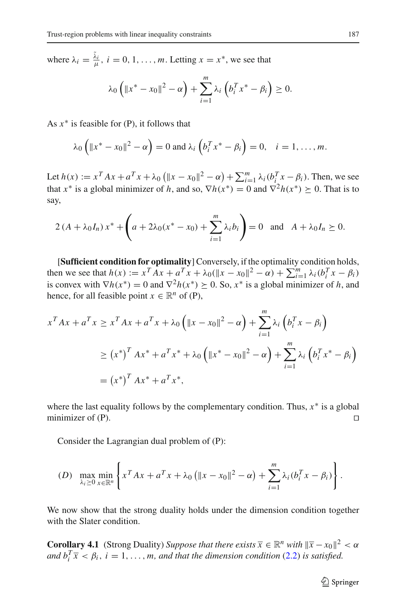where  $\lambda_i = \frac{\tilde{\lambda}_i}{\mu}$ ,  $i = 0, 1, \dots, m$ . Letting  $x = x^*$ , we see that

$$
\lambda_0 \left( \|x^* - x_0\|^2 - \alpha \right) + \sum_{i=1}^m \lambda_i \left( b_i^T x^* - \beta_i \right) \ge 0.
$$

As *x*<sup>∗</sup> is feasible for (P), it follows that

$$
\lambda_0\left(\|x^*-x_0\|^2-\alpha\right)=0 \text{ and } \lambda_i\left(b_i^Tx^*-\beta_i\right)=0, \quad i=1,\ldots,m.
$$

Let  $h(x) := x^T A x + a^T x + \lambda_0 \left( \|x - x_0\|^2 - \alpha \right) + \sum_{i=1}^m \lambda_i (b_i^T x - \beta_i)$ . Then, we see that *x*<sup>\*</sup> is a global minimizer of *h*, and so,  $\nabla h(x^*) = 0$  and  $\nabla^2 h(x^*) \ge 0$ . That is to say,

$$
2(A + \lambda_0 I_n) x^* + \left( a + 2\lambda_0 (x^* - x_0) + \sum_{i=1}^m \lambda_i b_i \right) = 0 \text{ and } A + \lambda_0 I_n \ge 0.
$$

[**Sufficient condition for optimality**] Conversely, if the optimality condition holds, then we see that  $h(x) := x^T A x + a^T x + \lambda_0 (\|x - x_0\|^2 - \alpha) + \sum_{i=1}^m \lambda_i (b_i^T x - \beta_i)$ is convex with  $\nabla h(x^*) = 0$  and  $\nabla^2 h(x^*) \geq 0$ . So,  $x^*$  is a global minimizer of *h*, and hence, for all feasible point  $x \in \mathbb{R}^n$  of (P),

$$
x^{T}Ax + a^{T}x \ge x^{T}Ax + a^{T}x + \lambda_{0} \left( \|x - x_{0}\|^{2} - \alpha \right) + \sum_{i=1}^{m} \lambda_{i} \left( b_{i}^{T}x - \beta_{i} \right)
$$
  
\n
$$
\ge (x^{*})^{T}Ax^{*} + a^{T}x^{*} + \lambda_{0} \left( \|x^{*} - x_{0}\|^{2} - \alpha \right) + \sum_{i=1}^{m} \lambda_{i} \left( b_{i}^{T}x^{*} - \beta_{i} \right)
$$
  
\n
$$
= (x^{*})^{T}Ax^{*} + a^{T}x^{*},
$$

where the last equality follows by the complementary condition. Thus,  $x^*$  is a global minimizer of  $(P)$ .

Consider the Lagrangian dual problem of (P):

$$
(D) \ \ \max_{\lambda_i\geq 0} \min_{x\in\mathbb{R}^n} \left\{ x^T A x + a^T x + \lambda_0 \left( \|x-x_0\|^2 - \alpha \right) + \sum_{i=1}^m \lambda_i (b_i^T x - \beta_i) \right\}.
$$

<span id="page-16-0"></span>We now show that the strong duality holds under the dimension condition together with the Slater condition.

**Corollary 4.1** (Strong Duality) *Suppose that there exists*  $\overline{x} \in \mathbb{R}^n$  *with*  $\|\overline{x} - x_0\|^2 < \alpha$ *and*  $b_i^T \overline{x} < \beta_i$ ,  $i = 1, ..., m$ , and that the dimension condition [\(2.2\)](#page-4-1) is satisfied.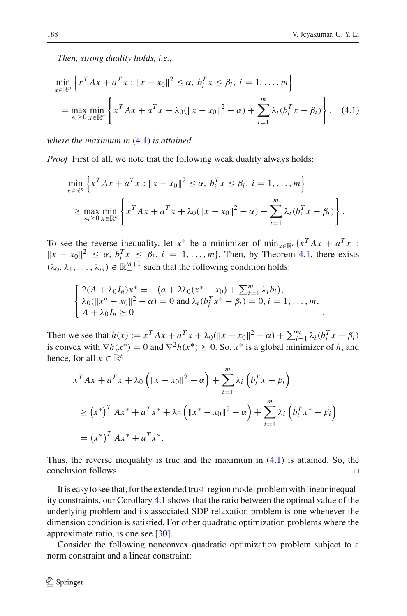*Then, strong duality holds, i.e.,*

<span id="page-17-0"></span>
$$
\min_{x \in \mathbb{R}^n} \left\{ x^T A x + a^T x : ||x - x_0||^2 \le \alpha, \ b_i^T x \le \beta_i, \ i = 1, ..., m \right\}
$$
\n
$$
= \max_{\lambda_i \ge 0} \min_{x \in \mathbb{R}^n} \left\{ x^T A x + a^T x + \lambda_0 (\|x - x_0\|^2 - \alpha) + \sum_{i=1}^m \lambda_i (b_i^T x - \beta_i) \right\}. \tag{4.1}
$$

*where the maximum in* [\(4.1\)](#page-17-0) *is attained.*

*Proof* First of all, we note that the following weak duality always holds:

$$
\min_{x \in \mathbb{R}^n} \left\{ x^T A x + a^T x : ||x - x_0||^2 \le \alpha, \ b_i^T x \le \beta_i, \ i = 1, ..., m \right\} \\
\ge \max_{\lambda_i \ge 0} \min_{x \in \mathbb{R}^n} \left\{ x^T A x + a^T x + \lambda_0 (\|x - x_0\|^2 - \alpha) + \sum_{i=1}^m \lambda_i (b_i^T x - \beta_i) \right\}.
$$

To see the reverse inequality, let *x*<sup>\*</sup> be a minimizer of min<sub>*x*∈R*n*</sub> {*x*<sup>*T*</sup> *Ax* +  $a^Tx$  :  $||x - x_0||^2 \le \alpha$ ,  $b_i^T x \le \beta_i$ ,  $i = 1, \ldots, m$ . Then, by Theorem [4.1,](#page-14-2) there exists  $(\lambda_0, \lambda_1, \ldots, \lambda_m) \in \mathbb{R}^{m+1}_+$  such that the following condition holds:

$$
\begin{cases} 2(A + \lambda_0 I_n)x^* = -(a + 2\lambda_0(x^* - x_0) + \sum_{i=1}^m \lambda_i b_i), \\ \lambda_0(\|x^* - x_0\|^2 - \alpha) = 0 \text{ and } \lambda_i(b_i^T x^* - \beta_i) = 0, i = 1, ..., m, \\ A + \lambda_0 I_n \succeq 0 \end{cases}
$$

Then we see that  $h(x) := x^T A x + a^T x + \lambda_0 (\|x - x_0\|^2 - \alpha) + \sum_{i=1}^m \lambda_i (b_i^T x - \beta_i)$ is convex with  $\nabla h(x^*) = 0$  and  $\nabla^2 h(x^*) \geq 0$ . So,  $x^*$  is a global minimizer of *h*, and hence, for all  $x \in \mathbb{R}^n$ 

$$
x^{T}Ax + a^{T}x + \lambda_{0} (||x - x_{0}||^{2} - \alpha) + \sum_{i=1}^{m} \lambda_{i} (b_{i}^{T}x - \beta_{i})
$$
  
\n
$$
\geq (x^{*})^{T}Ax^{*} + a^{T}x^{*} + \lambda_{0} (||x^{*} - x_{0}||^{2} - \alpha) + \sum_{i=1}^{m} \lambda_{i} (b_{i}^{T}x^{*} - \beta_{i})
$$
  
\n
$$
= (x^{*})^{T}Ax^{*} + a^{T}x^{*}.
$$

Thus, the reverse inequality is true and the maximum in [\(4.1\)](#page-17-0) is attained. So, the conclusion follows. 

It is easy to see that, for the extended trust-region model problem with linear inequality constraints, our Corollary [4.1](#page-16-0) shows that the ratio between the optimal value of the underlying problem and its associated SDP relaxation problem is one whenever the dimension condition is satisfied. For other quadratic optimization problems where the approximate ratio, is one see [\[30\]](#page-35-13).

Consider the following nonconvex quadratic optimization problem subject to a norm constraint and a linear constraint: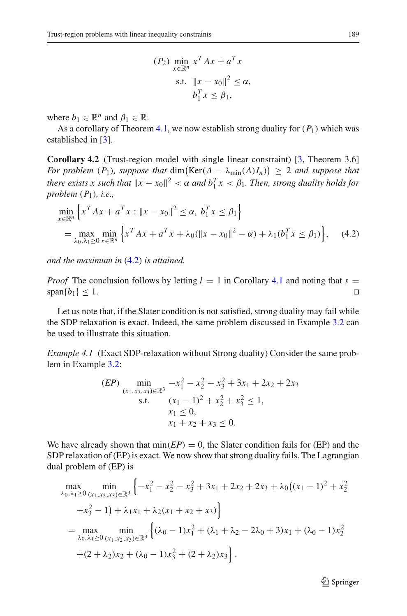$$
(P_2) \min_{x \in \mathbb{R}^n} x^T A x + a^T x
$$
  
s.t.  $||x - x_0||^2 \le \alpha$ ,  
 $b_1^T x \le \beta_1$ ,

where  $b_1 \in \mathbb{R}^n$  and  $\beta_1 \in \mathbb{R}$ .

<span id="page-18-0"></span>As a corollary of Theorem [4.1,](#page-16-0) we now establish strong duality for  $(P_1)$  which was established in [\[3](#page-34-5)].

**Corollary 4.2** (Trust-region model with single linear constraint) [\[3,](#page-34-5) Theorem 3.6] *For problem*  $(P_1)$ *, suppose that*  $\dim(\text{Ker}(A - \lambda_{\min}(A)I_n)) \geq 2$  *and suppose that there exists*  $\overline{x}$  *such that*  $\|\overline{x} - x_0\|^2 < \alpha$  *and*  $b_1^T \overline{x} < \beta_1$ *. Then, strong duality holds for problem* (*P*1)*, i.e.,*

<span id="page-18-1"></span>
$$
\min_{x \in \mathbb{R}^n} \left\{ x^T A x + a^T x : ||x - x_0||^2 \le \alpha, \ b_1^T x \le \beta_1 \right\}
$$
\n
$$
= \max_{\lambda_0, \lambda_1 \ge 0} \min_{x \in \mathbb{R}^n} \left\{ x^T A x + a^T x + \lambda_0 (\|x - x_0\|^2 - \alpha) + \lambda_1 (b_1^T x \le \beta_1) \right\}, \quad (4.2)
$$

*and the maximum in* [\(4.2\)](#page-18-1) *is attained.*

*Proof* The conclusion follows by letting  $l = 1$  in Corollary [4.1](#page-16-0) and noting that  $s =$  $\text{span}{b_1} \leq 1.$ 

Let us note that, if the Slater condition is not satisfied, strong duality may fail while the SDP relaxation is exact. Indeed, the same problem discussed in Example [3.2](#page-10-0) can be used to illustrate this situation.

*Example 4.1* (Exact SDP-relaxation without Strong duality) Consider the same problem in Example [3.2:](#page-10-0)

$$
(EP) \min_{\substack{(x_1, x_2, x_3) \in \mathbb{R}^3 \\ \text{s.t.}}} -x_1^2 - x_2^2 - x_3^2 + 3x_1 + 2x_2 + 2x_3
$$
  
s.t. 
$$
\substack{(x_1 - 1)^2 + x_2^2 + x_3^2 \le 1, \\ x_1 \le 0, \\ x_1 + x_2 + x_3 \le 0.}
$$

We have already shown that  $min(EP) = 0$ , the Slater condition fails for (EP) and the SDP relaxation of (EP) is exact. We now show that strong duality fails. The Lagrangian dual problem of (EP) is

$$
\begin{split}\n\max_{\lambda_0, \lambda_1 \ge 0} \min_{(x_1, x_2, x_3) \in \mathbb{R}^3} \left\{ -x_1^2 - x_2^2 - x_3^2 + 3x_1 + 2x_2 + 2x_3 + \lambda_0 \left( (x_1 - 1)^2 + x_2^2 + x_3^2 - 1 \right) + \lambda_1 x_1 + \lambda_2 (x_1 + x_2 + x_3) \right\} \\
&= \max_{\lambda_0, \lambda_1 \ge 0} \min_{(x_1, x_2, x_3) \in \mathbb{R}^3} \left\{ (\lambda_0 - 1)x_1^2 + (\lambda_1 + \lambda_2 - 2\lambda_0 + 3)x_1 + (\lambda_0 - 1)x_2^2 + (2 + \lambda_2)x_2 + (\lambda_0 - 1)x_3^2 + (2 + \lambda_2)x_3 \right\}.\n\end{split}
$$

 $\mathcal{D}$  Springer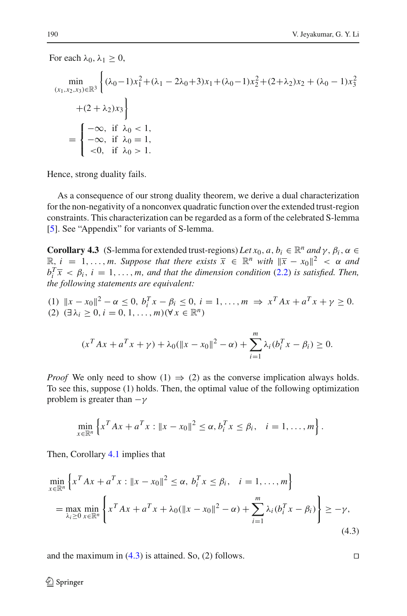For each  $\lambda_0, \lambda_1 \geq 0$ ,

$$
\min_{(x_1, x_2, x_3) \in \mathbb{R}^3} \left\{ (\lambda_0 - 1)x_1^2 + (\lambda_1 - 2\lambda_0 + 3)x_1 + (\lambda_0 - 1)x_2^2 + (2 + \lambda_2)x_2 + (\lambda_0 - 1)x_3^2 + (2 + \lambda_2)x_3 \right\}
$$
  
+  $(2 + \lambda_2)x_3$   
=  $\begin{cases} -\infty, & \text{if } \lambda_0 < 1, \\ -\infty, & \text{if } \lambda_0 = 1, \\ <0, & \text{if } \lambda_0 > 1. \end{cases}$ 

Hence, strong duality fails.

As a consequence of our strong duality theorem, we derive a dual characterization for the non-negativity of a nonconvex quadratic function over the extended trust-region constraints. This characterization can be regarded as a form of the celebrated S-lemma [\[5](#page-34-8)]. See "Appendix" for variants of S-lemma.

<span id="page-19-1"></span>**Corollary 4.3** (S-lemma for extended trust-regions) Let  $x_0$ ,  $a, b_i \in \mathbb{R}^n$  and  $\gamma$ ,  $\beta_i$ ,  $\alpha \in$  $\mathbb{R}, i = 1, \ldots, m$ . Suppose that there exists  $\overline{x} \in \mathbb{R}^n$  with  $\|\overline{x} - x_0\|^2 < \alpha$  and  $b_i^T \bar{x} < \beta_i$ ,  $i = 1, \ldots, m$ , and that the dimension condition [\(2.2\)](#page-4-1) is satisfied. Then, *the following statements are equivalent:*

(1) 
$$
||x - x_0||^2 - \alpha \le 0, b_i^T x - \beta_i \le 0, i = 1, ..., m \Rightarrow x^T A x + a^T x + \gamma \ge 0.
$$
  
(2)  $(\exists \lambda_i \ge 0, i = 0, 1, ..., m)(\forall x \in \mathbb{R}^n)$ 

$$
(x^T A x + a^T x + \gamma) + \lambda_0 (\|x - x_0\|^2 - \alpha) + \sum_{i=1}^m \lambda_i (b_i^T x - \beta_i) \ge 0.
$$

*Proof* We only need to show (1)  $\Rightarrow$  (2) as the converse implication always holds. To see this, suppose (1) holds. Then, the optimal value of the following optimization problem is greater than  $-\gamma$ 

$$
\min_{x \in \mathbb{R}^n} \left\{ x^T A x + a^T x : ||x - x_0||^2 \le \alpha, b_i^T x \le \beta_i, \quad i = 1, ..., m \right\}.
$$

Then, Corollary [4.1](#page-16-0) implies that

<span id="page-19-0"></span>
$$
\min_{x \in \mathbb{R}^n} \left\{ x^T A x + a^T x : ||x - x_0||^2 \le \alpha, \ b_i^T x \le \beta_i, \quad i = 1, ..., m \right\}
$$
\n
$$
= \max_{\lambda_i \ge 0} \min_{x \in \mathbb{R}^n} \left\{ x^T A x + a^T x + \lambda_0 (\|x - x_0\|^2 - \alpha) + \sum_{i=1}^m \lambda_i (b_i^T x - \beta_i) \right\} \ge -\gamma,
$$
\n(4.3)

and the maximum in  $(4.3)$  is attained. So,  $(2)$  follows.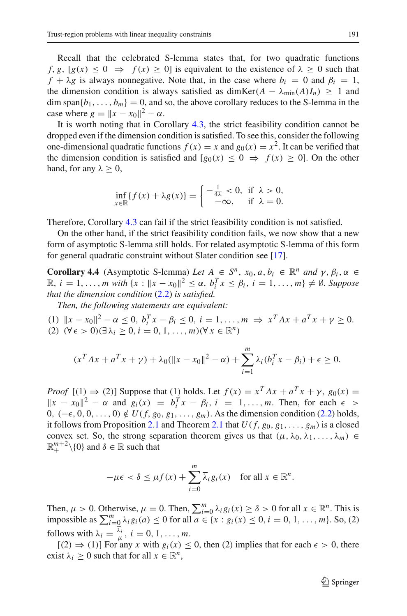Recall that the celebrated S-lemma states that, for two quadratic functions *f*, *g*,  $[g(x) \le 0 \Rightarrow f(x) \ge 0]$  is equivalent to the existence of  $\lambda \ge 0$  such that  $f + \lambda g$  is always nonnegative. Note that, in the case where  $b_i = 0$  and  $\beta_i = 1$ , the dimension condition is always satisfied as dimKer( $A - \lambda_{\min}(A)I_n$ ) ≥ 1 and  $\dim \text{span}{b_1,\ldots,b_m} = 0$ , and so, the above corollary reduces to the S-lemma in the case where  $g = ||x - x_0||^2 - \alpha$ .

It is worth noting that in Corollary [4.3,](#page-19-1) the strict feasibility condition cannot be dropped even if the dimension condition is satisfied. To see this, consider the following one-dimensional quadratic functions  $f(x) = x$  and  $g_0(x) = x^2$ . It can be verified that the dimension condition is satisfied and  $[g_0(x) \leq 0 \Rightarrow f(x) \geq 0]$ . On the other hand, for any  $\lambda \geq 0$ ,

$$
\inf_{x \in \mathbb{R}} \{ f(x) + \lambda g(x) \} = \begin{cases} -\frac{1}{4\lambda} < 0, \text{ if } \lambda > 0, \\ -\infty, \text{ if } \lambda = 0. \end{cases}
$$

Therefore, Corollary [4.3](#page-19-1) can fail if the strict feasibility condition is not satisfied.

On the other hand, if the strict feasibility condition fails, we now show that a new form of asymptotic S-lemma still holds. For related asymptotic S-lemma of this form for general quadratic constraint without Slater condition see [\[17](#page-35-15)].

**Corollary 4.4** (Asymptotic S-lemma) *Let*  $A \in S^n$ ,  $x_0, a, b_i \in \mathbb{R}^n$  *and*  $\gamma, \beta_i, \alpha \in S^n$  $\mathbb{R}, i = 1, ..., m \text{ with } \{x : ||x - x_0||^2 \le \alpha, b_i^T x \le \beta_i, i = 1, ..., m\} \neq \emptyset. \text{ Suppose}$ *that the dimension condition* [\(2.2\)](#page-4-1) *is satisfied.*

*Then, the following statements are equivalent:*

 $(1)$   $\|x - x_0\|^2 - \alpha \le 0$ ,  $b_i^T x - \beta_i \le 0$ ,  $i = 1, ..., m \implies x^T A x + a^T x + \gamma \ge 0$ .  $(2)$   $(∀ ∈ > 0) (∃ λ<sub>i</sub> ≥ 0, i = 0, 1, ..., m) (∀ x ∈ ℝ<sup>n</sup>)$ 

$$
(x^T A x + a^T x + \gamma) + \lambda_0 (\|x - x_0\|^2 - \alpha) + \sum_{i=1}^m \lambda_i (b_i^T x - \beta_i) + \epsilon \ge 0.
$$

*Proof*  $[(1) \Rightarrow (2)]$  Suppose that (1) holds. Let  $f(x) = x^T A x + a^T x + \gamma$ ,  $g_0(x) =$  $||x - x_0||^2 - \alpha$  and  $g_i(x) = b_i^T x - \beta_i$ ,  $i = 1, ..., m$ . Then, for each  $\epsilon >$ 0,  $(-\epsilon, 0, 0, \ldots, 0) \notin U(f, g_0, g_1, \ldots, g_m)$ . As the dimension condition [\(2.2\)](#page-4-1) holds, it follows from Proposition [2.1](#page-5-0) and Theorem 2.1 that  $U(f, g_0, g_1, \ldots, g_m)$  is a closed convex set. So, the strong separation theorem gives us that  $(\mu, \overline{\lambda}_0, \overline{\lambda}_1, \ldots, \overline{\lambda}_m) \in$  $\mathbb{R}^{m+2}_+ \setminus \{0\}$  and  $\delta \in \mathbb{R}$  such that

$$
-\mu\epsilon < \delta \leq \mu f(x) + \sum_{i=0}^{m} \overline{\lambda}_{i} g_{i}(x) \quad \text{for all } x \in \mathbb{R}^{n}.
$$

Then,  $\mu > 0$ . Otherwise,  $\mu = 0$ . Then,  $\sum_{i=0}^{m} \lambda_i g_i(x) \ge \delta > 0$  for all  $x \in \mathbb{R}^n$ . This is impossible as  $\sum_{i=0}^{m} \lambda_i g_i(a) \le 0$  for all  $a \in \{x : g_i(x) \le 0, i = 0, 1, ..., m\}$ . So, (2) follows with  $\lambda_i = \frac{\lambda_i}{\mu}, i = 0, 1, \dots, m$ .

 $[(2) \Rightarrow (1)]$  For any *x* with  $g_i(x) \leq 0$ , then (2) implies that for each  $\epsilon > 0$ , there exist  $\lambda_i \geq 0$  such that for all  $x \in \mathbb{R}^n$ ,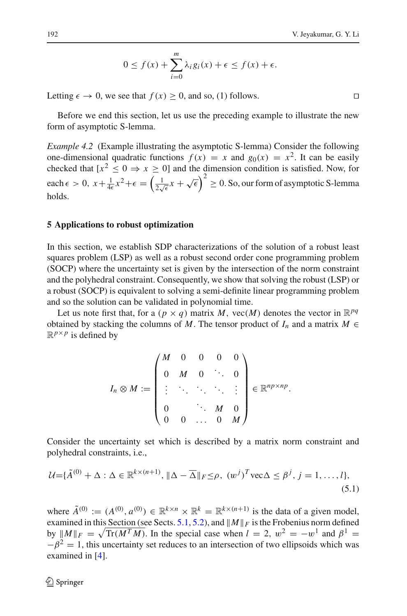$$
0 \le f(x) + \sum_{i=0}^{m} \lambda_i g_i(x) + \epsilon \le f(x) + \epsilon.
$$

Letting  $\epsilon \to 0$ , we see that  $f(x) \ge 0$ , and so, (1) follows.

Before we end this section, let us use the preceding example to illustrate the new form of asymptotic S-lemma.

*Example 4.2* (Example illustrating the asymptotic S-lemma) Consider the following one-dimensional quadratic functions  $f(x) = x$  and  $g_0(x) = x^2$ . It can be easily checked that  $[x^2 \leq 0 \Rightarrow x \geq 0]$  and the dimension condition is satisfied. Now, for each  $\epsilon > 0$ ,  $x + \frac{1}{4\epsilon}x^2 + \epsilon = \left(\frac{1}{2\sqrt{\epsilon}}x + \sqrt{\epsilon}\right)^2 \ge 0$ . So, our form of asymptotic S-lemma holds.

## <span id="page-21-0"></span>**5 Applications to robust optimization**

In this section, we establish SDP characterizations of the solution of a robust least squares problem (LSP) as well as a robust second order cone programming problem (SOCP) where the uncertainty set is given by the intersection of the norm constraint and the polyhedral constraint. Consequently, we show that solving the robust (LSP) or a robust (SOCP) is equivalent to solving a semi-definite linear programming problem and so the solution can be validated in polynomial time.

Let us note first that, for a  $(p \times q)$  matrix *M*, vec(*M*) denotes the vector in  $\mathbb{R}^{pq}$ obtained by stacking the columns of *M*. The tensor product of  $I_n$  and a matrix  $M \in$  $\mathbb{R}^{p \times p}$  is defined by

$$
I_n \otimes M := \begin{pmatrix} M & 0 & 0 & 0 & 0 \\ 0 & M & 0 & \ddots & 0 \\ \vdots & \ddots & \ddots & \ddots & \vdots \\ 0 & & \ddots & M & 0 \\ 0 & 0 & \dots & 0 & M \end{pmatrix} \in \mathbb{R}^{np \times np}.
$$

Consider the uncertainty set which is described by a matrix norm constraint and polyhedral constraints, i.e.,

<span id="page-21-1"></span>
$$
\mathcal{U} = \{\tilde{A}^{(0)} + \Delta : \Delta \in \mathbb{R}^{k \times (n+1)}, \|\Delta - \overline{\Delta}\|_F \leq \rho, \ (w^j)^T \text{vec}\Delta \leq \beta^j, j = 1, \dots, l\},\tag{5.1}
$$

where  $\tilde{A}^{(0)} := (A^{(0)}, a^{(0)}) \in \mathbb{R}^{k \times n} \times \mathbb{R}^k = \mathbb{R}^{k \times (n+1)}$  is the data of a given model, examined in this Section (see Sects. [5.1,](#page-24-0) [5.2\)](#page-26-0), and  $||M||_F$  is the Frobenius norm defined by  $||M||_F = \sqrt{\text{Tr}(M^T M)}$ . In the special case when  $l = 2$ ,  $w^2 = -w^1$  and  $\beta^1 =$  $-\beta^2 = 1$ , this uncertainty set reduces to an intersection of two ellipsoids which was examined in [\[4](#page-34-6)].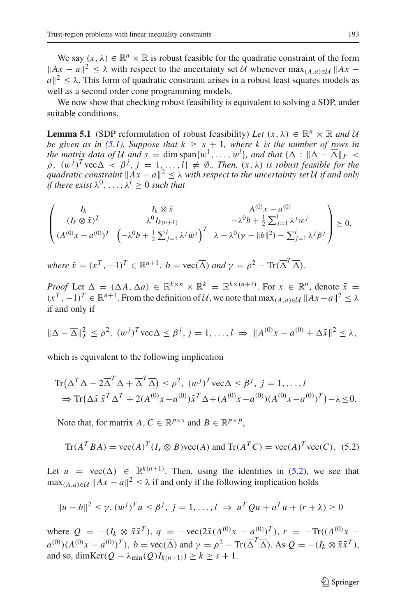We say  $(x, \lambda) \in \mathbb{R}^n \times \mathbb{R}$  is robust feasible for the quadratic constraint of the form  $||Ax - a||^2 < \lambda$  with respect to the uncertainty set *U* whenever max $\lambda$ <sub>*A*,*a*)∈ $U$ </sub>  $||Ax - b||$  $|a||^2 < \lambda$ . This form of quadratic constraint arises in a robust least squares models as well as a second order cone programming models.

<span id="page-22-1"></span>We now show that checking robust feasibility is equivalent to solving a SDP, under suitable conditions.

**Lemma 5.1** (SDP reformulation of robust feasibility) *Let*  $(x, \lambda) \in \mathbb{R}^n \times \mathbb{R}$  and *U be given as in [\(5.1\)](#page-21-1). Suppose that*  $k \geq s + 1$ *, where k is the number of rows in the matrix data of U and*  $s = \dim \text{span}\{w^1, \ldots, w^l\}$ *, and that*  $\{\Delta : \|\Delta - \overline{\Delta}\|_F <$  $\rho$ ,  $(w^{j})^{T}$  vec  $\Delta < \beta^{j}$ ,  $j = 1,...,l$   $\neq \emptyset$ . Then,  $(x, \lambda)$  *is robust feasible for the quadratic constraint*  $||Ax - a||^2 < \lambda$  *with respect to the uncertainty set U if and only if there exist*  $\lambda^0$ , ...,  $\lambda^l \geq 0$  *such that* 

$$
\begin{pmatrix}\nI_k & I_k \otimes \tilde{x} & A^{(0)}x - a^{(0)} \\
(I_k \otimes \tilde{x})^T & \lambda^0 I_{k(n+1)} & -\lambda^0 b + \frac{1}{2} \sum_{j=1}^l \lambda^j w^j \\
(A^{(0)}x - a^{(0)})^T & \left(-\lambda^0 b + \frac{1}{2} \sum_{j=1}^l \lambda^j w^j\right)^T & \lambda - \lambda^0 (\gamma - ||b||^2) - \sum_{j=1}^l \lambda^j \beta^j\n\end{pmatrix} \succeq 0,
$$

*where*  $\tilde{x} = (x^T, -1)^T \in \mathbb{R}^{n+1}$ ,  $b = \text{vec}(\overline{\Delta})$  *and*  $\gamma = \rho^2 - \text{Tr}(\overline{\Delta}^T \overline{\Delta})$ *.* 

*Proof* Let  $\Delta = (\Delta A, \Delta a) \in \mathbb{R}^{k \times n} \times \mathbb{R}^k = \mathbb{R}^{k \times (n+1)}$ . For  $x \in \mathbb{R}^n$ , denote  $\tilde{x} =$  $(x^T, -1)^T \in \mathbb{R}^{n+1}$ . From the definition of U, we note that  $\max_{(A, a) \in U} ||Ax - a||^2 \leq \lambda$ if and only if

$$
\|\Delta - \overline{\Delta}\|_F^2 \le \rho^2, \ (w^j)^T \text{vec}\Delta \le \beta^j, \ j = 1, \dots, l \ \Rightarrow \|A^{(0)}x - a^{(0)} + \Delta \tilde{x}\|^2 \le \lambda,
$$

which is equivalent to the following implication

$$
\operatorname{Tr}(\Delta^T \Delta - 2\overline{\Delta}^T \Delta + \overline{\Delta}^T \overline{\Delta}) \le \rho^2, \ (w^j)^T \operatorname{vec}\Delta \le \beta^j, \ j = 1, \dots, l
$$
  
\n
$$
\Rightarrow \operatorname{Tr}(\Delta \tilde{x} \tilde{x}^T \Delta^T + 2(A^{(0)} x - a^{(0)}) \tilde{x}^T \Delta + (A^{(0)} x - a^{(0)}) (A^{(0)} x - a^{(0)})^T) - \lambda \le 0.
$$

Note that, for matrix *A*,  $C \in \mathbb{R}^{p \times s}$  and  $B \in \mathbb{R}^{p \times p}$ ,

$$
\operatorname{Tr}(A^T B A) = \operatorname{vec}(A)^T (I_s \otimes B) \operatorname{vec}(A) \text{ and } \operatorname{Tr}(A^T C) = \operatorname{vec}(A)^T \operatorname{vec}(C). \tag{5.2}
$$

<span id="page-22-0"></span>Let  $u = \text{vec}(\Delta) \in \mathbb{R}^{k(n+1)}$ . Then, using the identities in [\(5.2\)](#page-22-0), we see that  $\max_{(A,a)\in\mathcal{U}} ||Ax-a||^2 \leq \lambda$  if and only if the following implication holds

$$
||u - b||^{2} \leq \gamma, (w^{j})^{T} u \leq \beta^{j}, j = 1, ..., l \Rightarrow u^{T} Qu + a^{T} u + (r + \lambda) \geq 0
$$

where  $Q = -(I_k \otimes \tilde{x}\tilde{x}^T), q = -\text{vec}(2\tilde{x}(A^{(0)}x - a^{(0)})^T), r = -\text{Tr}((A^{(0)}x - a^{(0)})^T)$  $a^{(0)}$ )( $A^{(0)}x - a^{(0)}$ )<sup>T</sup>),  $b = \text{vec}(\overline{\Delta})$  and  $\gamma = \rho^2 - \text{Tr}(\overline{\Delta}^T \overline{\Delta})$ . As  $Q = -(I_k \otimes \tilde{x}\tilde{x}^T)$ , and so, dimKer( $Q - \lambda_{\min}(Q)I_{k(n+1)} \ge k \ge s + 1$ .

 $\mathcal{D}$  Springer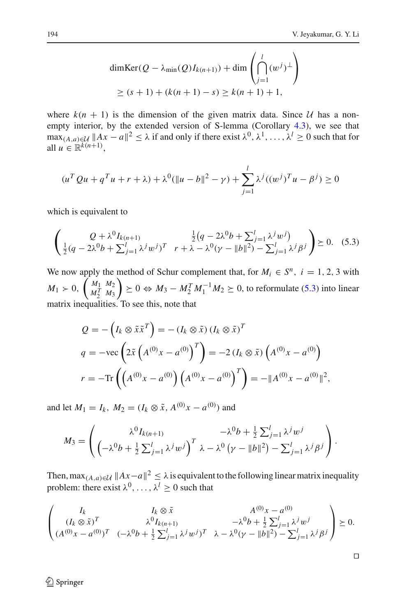$$
\dim \text{Ker}(Q - \lambda_{\min}(Q)I_{k(n+1)}) + \dim \left(\bigcap_{j=1}^{l} (w^{j})^{\perp}\right)
$$
  
 
$$
\ge (s+1) + (k(n+1) - s) \ge k(n+1) + 1,
$$

where  $k(n + 1)$  is the dimension of the given matrix data. Since U has a non-empty interior, by the extended version of S-lemma (Corollary [4.3\)](#page-19-1), we see that  $\max_{(A,a)\in\mathcal{U}} ||Ax-a||^2 \leq \lambda$  if and only if there exist  $\lambda^0, \lambda^1, \ldots, \lambda^l \geq 0$  such that for all  $u \in \mathbb{R}^{k(n+1)}$ ,

$$
(u^T Q u + q^T u + r + \lambda) + \lambda^0 (\|u - b\|^2 - \gamma) + \sum_{j=1}^l \lambda^j ((w^j)^T u - \beta^j) \ge 0
$$

which is equivalent to

$$
\begin{pmatrix}\nQ + \lambda^0 I_{k(n+1)} & \frac{1}{2}(q - 2\lambda^0 b + \sum_{j=1}^l \lambda^j w^j) \\
\frac{1}{2}(q - 2\lambda^0 b + \sum_{j=1}^l \lambda^j w^j)^T & r + \lambda - \lambda^0 (\gamma - ||b||^2) - \sum_{j=1}^l \lambda^j \beta^j\n\end{pmatrix} \succeq 0.
$$
 (5.3)

<span id="page-23-0"></span>We now apply the method of Schur complement that, for  $M_i \in S^n$ ,  $i = 1, 2, 3$  with  $M_1 > 0, \ \binom{M_1}{M_1^T} \frac{M_2}{M_3}$  $M_2^T$   $M_3$  $\left(0 \right) \geq 0 \Leftrightarrow M_3 - M_2^T M_1^{-1} M_2 \geq 0$ , to reformulate [\(5.3\)](#page-23-0) into linear matrix inequalities. To see this, note that

$$
Q = -\left(I_k \otimes \tilde{x}\tilde{x}^T\right) = -(I_k \otimes \tilde{x})\left(I_k \otimes \tilde{x}\right)^T
$$
  
\n
$$
q = -\text{vec}\left(2\tilde{x}\left(A^{(0)}x - a^{(0)}\right)^T\right) = -2\left(I_k \otimes \tilde{x}\right)\left(A^{(0)}x - a^{(0)}\right)
$$
  
\n
$$
r = -\text{Tr}\left(\left(A^{(0)}x - a^{(0)}\right)\left(A^{(0)}x - a^{(0)}\right)^T\right) = -\|A^{(0)}x - a^{(0)}\|^2,
$$

and let  $M_1 = I_k$ ,  $M_2 = (I_k \otimes \tilde{x}, A^{(0)}x - a^{(0)})$  and

$$
M_3 = \begin{pmatrix} \lambda^0 I_{k(n+1)} & -\lambda^0 b + \frac{1}{2} \sum_{j=1}^l \lambda^j w^j \\ \left( -\lambda^0 b + \frac{1}{2} \sum_{j=1}^l \lambda^j w^j \right)^T \lambda - \lambda^0 \left( \gamma - \|b\|^2 \right) - \sum_{j=1}^l \lambda^j \beta^j \end{pmatrix}.
$$

Then, max $(A, a) \in \mathcal{U}$   $||Ax-a||^2 \leq \lambda$  is equivalent to the following linear matrix inequality problem: there exist  $\lambda^0, \ldots, \lambda^l \geq 0$  such that

$$
\begin{pmatrix}\nI_k & I_k \otimes \tilde{x} & A^{(0)}x - a^{(0)} \\
(I_k \otimes \tilde{x})^T & \lambda^0 I_{k(n+1)} & -\lambda^0 b + \frac{1}{2} \sum_{j=1}^l \lambda^j w^j \\
(A^{(0)}x - a^{(0)})^T & (-\lambda^0 b + \frac{1}{2} \sum_{j=1}^l \lambda^j w^j)^T & \lambda - \lambda^0 (\gamma - ||b||^2) - \sum_{j=1}^l \lambda^j \beta^j\n\end{pmatrix} \succeq 0.
$$

<sup>2</sup> Springer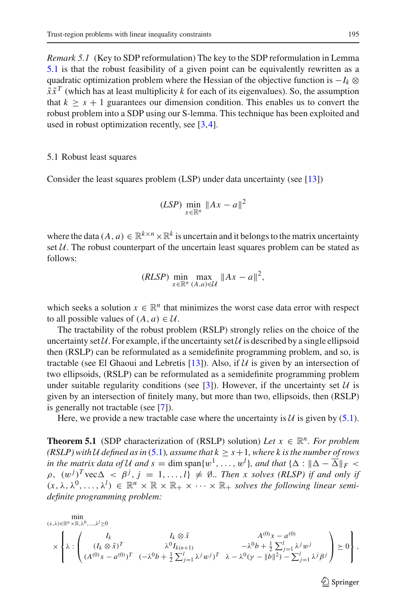*Remark 5.1* (Key to SDP reformulation) The key to the SDP reformulation in Lemma [5.1](#page-22-1) is that the robust feasibility of a given point can be equivalently rewritten as a quadratic optimization problem where the Hessian of the objective function is −*Ik* ⊗  $\tilde{x}\tilde{x}^T$  (which has at least multiplicity *k* for each of its eigenvalues). So, the assumption that  $k \geq s + 1$  guarantees our dimension condition. This enables us to convert the robust problem into a SDP using our S-lemma. This technique has been exploited and used in robust optimization recently, see [\[3,](#page-34-5)[4\]](#page-34-6).

#### <span id="page-24-0"></span>5.1 Robust least squares

Consider the least squares problem (LSP) under data uncertainty (see [\[13](#page-34-12)])

$$
(LSP)\min_{x\in\mathbb{R}^n} \|Ax - a\|^2
$$

where the data  $(A, a) \in \mathbb{R}^{k \times n} \times \mathbb{R}^k$  is uncertain and it belongs to the matrix uncertainty set  $U$ . The robust counterpart of the uncertain least squares problem can be stated as follows:

$$
(RLSP) \min_{x \in \mathbb{R}^n} \max_{(A,a) \in \mathcal{U}} \|Ax - a\|^2,
$$

which seeks a solution  $x \in \mathbb{R}^n$  that minimizes the worst case data error with respect to all possible values of  $(A, a) \in \mathcal{U}$ .

The tractability of the robust problem (RSLP) strongly relies on the choice of the uncertainty set  $U$ . For example, if the uncertainty set  $U$  is described by a single ellipsoid then (RSLP) can be reformulated as a semidefinite programming problem, and so, is tractable (see El Ghaoui and Lebretis [\[13](#page-34-12)]). Also, if *U* is given by an intersection of two ellipsoids, (RSLP) can be reformulated as a semidefinite programming problem under suitable regularity conditions (see [\[3](#page-34-5)]). However, if the uncertainty set  $U$  is given by an intersection of finitely many, but more than two, ellipsoids, then (RSLP) is generally not tractable (see [\[7](#page-34-11)]).

Here, we provide a new tractable case where the uncertainty is  $U$  is given by [\(5.1\)](#page-21-1).

<span id="page-24-1"></span>**Theorem 5.1** (SDP characterization of (RSLP) solution) *Let*  $x \in \mathbb{R}^n$ *. For problem (RSLP) with U* defined as in [\(5.1\)](#page-21-1), assume that  $k \geq s+1$ , where k is the number of rows *in the matrix data of U and*  $s = \dim \text{span}\{w^1, \ldots, w^l\}$ *, and that*  $\{\Delta : \|\Delta - \overline{\Delta}\|_F$  <  $\rho$ ,  $(w^{j})^{T}$  vec  $\Delta \langle \beta^{j}, j = 1, ..., l \rangle \neq \emptyset$ . *Then x solves (RLSP) if and only if*  $(x, \lambda, \lambda^0, \ldots, \lambda^l) \in \mathbb{R}^n \times \mathbb{R} \times \mathbb{R}_+ \times \cdots \times \mathbb{R}_+$  solves the following linear semi*definite programming problem:*

$$
\min_{(x,\lambda)\in\mathbb{R}^n\times\mathbb{R},\lambda^0,\ldots,\lambda^l\geq 0} \min_{\lambda\in\mathbb{R}^n\times\mathbb{R},\lambda^0,\ldots,\lambda^l\geq 0} \frac{I_k\otimes\tilde{x}}{\lambda^0 I_{k(n+1)}}\left(\frac{I_k}{(A^{(0)}x-a^{(0)})^T}\begin{array}{cc}I_k\otimes\tilde{x} & A^{(0)}x-a^{(0)} \\ \lambda^0 I_{k(n+1)} & -\lambda^0 b+\frac{1}{2}\sum_{j=1}^l\lambda^j w^j \\ (A^{(0)}x-a^{(0)})^T & (-\lambda^0 b+\frac{1}{2}\sum_{j=1}^l\lambda^j w^j)^T & \lambda-\lambda^0(\gamma-\|b\|^2)-\sum_{j=1}^l\lambda^j\beta^j\end{array}\right)\geq 0\right\},
$$

 $\mathcal{L}$  Springer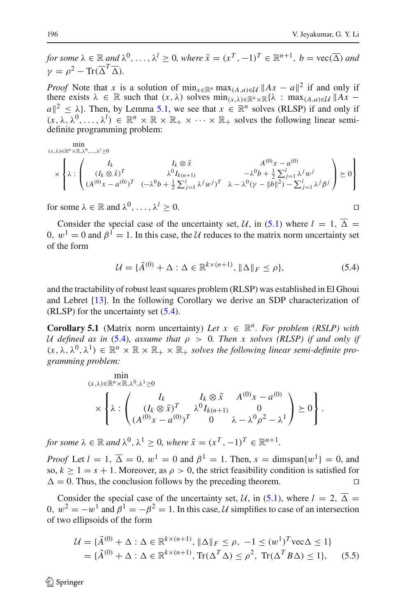*for some*  $\lambda \in \mathbb{R}$  *and*  $\lambda^0, \ldots, \lambda^l > 0$ *, where*  $\tilde{x} = (x^T, -1)^T \in \mathbb{R}^{n+1}$ ,  $b = \text{vec}(\overline{\Delta})$  *and*  $\gamma = \rho^2 - \text{Tr}(\overline{\Delta}^T \overline{\Delta}).$ 

*Proof* Note that *x* is a solution of min<sub>*x*∈R<sup>*n*</sup></sub> max<sub>(*A,,a*)∈*U* ||A*x* − *a*||<sup>2</sup> if and only if</sub> there exists  $\lambda \in \mathbb{R}$  such that  $(x, \lambda)$  solves  $\min_{(x, \lambda) \in \mathbb{R}^n \times \mathbb{R}} {\lambda : \max_{(A, a) \in \mathcal{U}} \|Ax - x\|_A}$  $a\|^2 < \lambda$ . Then, by Lemma [5.1,](#page-22-1) we see that  $x \in \mathbb{R}^n$  solves (RLSP) if and only if  $(x, \lambda, \lambda^0, \ldots, \lambda^l) \in \mathbb{R}^n \times \mathbb{R} \times \mathbb{R}_+ \times \cdots \times \mathbb{R}_+$  solves the following linear semidefinite programming problem:

$$
(x,\lambda) \in \mathbb{R}^n \times \mathbb{R}, \lambda^0, ..., \lambda^l \ge 0
$$
\n
$$
\times \left\{ \lambda : \begin{pmatrix} I_k & I_k \otimes \tilde{x} & A^{(0)}x - a^{(0)} \\ (I_k \otimes \tilde{x})^T & \lambda^0 I_{k(n+1)} & -\lambda^0 b + \frac{1}{2} \sum_{j=1}^l \lambda^j w^j \\ (A^{(0)}x - a^{(0)})^T & (-\lambda^0 b + \frac{1}{2} \sum_{j=1}^l \lambda^j w^j)^T & \lambda - \lambda^0 (\gamma - ||b||^2) - \sum_{j=1}^l \lambda^j \beta^j \end{pmatrix} \ge 0 \right\}
$$

for some  $\lambda \in \mathbb{R}$  and  $\lambda^0, \ldots, \lambda^l > 0$ .

Consider the special case of the uncertainty set, *U*, in [\(5.1\)](#page-21-1) where  $l = 1$ ,  $\overline{\Delta} =$ 0,  $w^1 = 0$  and  $\beta^1 = 1$ . In this case, the *U* reduces to the matrix norm uncertainty set of the form

$$
\mathcal{U} = \{\tilde{A}^{(0)} + \Delta : \Delta \in \mathbb{R}^{k \times (n+1)}, \|\Delta\|_F \le \rho\},\tag{5.4}
$$

<span id="page-25-0"></span>and the tractability of robust least squares problem (RLSP) was established in El Ghoui and Lebret [\[13\]](#page-34-12). In the following Corollary we derive an SDP characterization of (RLSP) for the uncertainty set [\(5.4\)](#page-25-0).

**Corollary 5.1** (Matrix norm uncertainty) Let  $x \in \mathbb{R}^n$ . For problem (RSLP) with *U defined as in* [\(5.4\)](#page-25-0)*, assume that*  $\rho > 0$ *. Then x solves (RLSP) if and only if*  $(x, \lambda, \lambda^0, \lambda^1) \in \mathbb{R}^n \times \mathbb{R} \times \mathbb{R}_+ \times \mathbb{R}_+$  solves the following linear semi-definite pro*gramming problem:*

$$
\min_{(x,\lambda)\in\mathbb{R}^n\times\mathbb{R},\lambda^0,\lambda^1\geq 0} \times \left\{\lambda : \begin{pmatrix} I_k & I_k\otimes \tilde{x} & A^{(0)}x - a^{(0)} \\ (I_k\otimes \tilde{x})^T & \lambda^0 I_{k(n+1)} & 0 \\ (A^{(0)}x - a^{(0)})^T & 0 & \lambda - \lambda^0\rho^2 - \lambda^1 \end{pmatrix} \geq 0 \right\}.
$$

*for some*  $\lambda \in \mathbb{R}$  *and*  $\lambda^0$ ,  $\lambda^1 > 0$ *, where*  $\tilde{x} = (x^T, -1)^T \in \mathbb{R}^{n+1}$ *.* 

*Proof* Let  $l = 1$ ,  $\overline{\Delta} = 0$ ,  $w^1 = 0$  and  $\beta^1 = 1$ . Then,  $s = \text{dimspan}\{w^1\} = 0$ , and so,  $k \ge 1 = s + 1$ . Moreover, as  $\rho > 0$ , the strict feasibility condition is satisfied for  $\Delta = 0$ . Thus, the conclusion follows by the preceding theorem.

Consider the special case of the uncertainty set, *U*, in [\(5.1\)](#page-21-1), where  $l = 2$ ,  $\overline{\Delta} =$ 0,  $w^2 = -w^1$  and  $\beta^1 = -\beta^2 = 1$ . In this case, *U* simplifies to case of an intersection of two ellipsoids of the form

$$
\mathcal{U} = \{\tilde{A}^{(0)} + \Delta : \Delta \in \mathbb{R}^{k \times (n+1)}, \|\Delta\|_F \le \rho, -1 \le (w^1)^T \text{vec}\Delta \le 1\}
$$
  
=  $\{\tilde{A}^{(0)} + \Delta : \Delta \in \mathbb{R}^{k \times (n+1)}, \text{Tr}(\Delta^T \Delta) \le \rho^2, \text{Tr}(\Delta^T B \Delta) \le 1\},$  (5.5)

<span id="page-25-1"></span>≰ Springer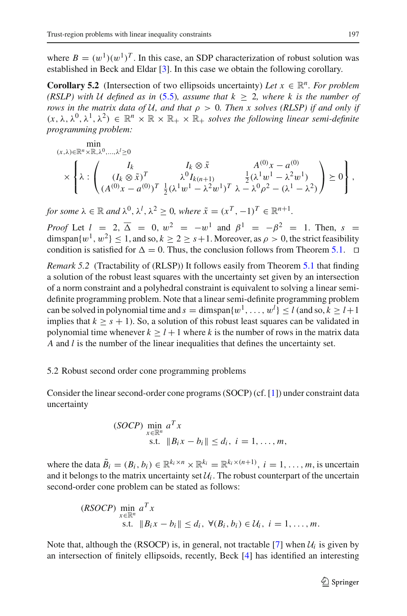where  $B = (w^1)(w^1)^T$ . In this case, an SDP characterization of robust solution was established in Beck and Eldar [\[3\]](#page-34-5). In this case we obtain the following corollary.

**Corollary 5.2** (Intersection of two ellipsoids uncertainty) Let  $x \in \mathbb{R}^n$ . For problem *(RSLP)* with *U* defined as in [\(5.5\)](#page-25-1)*,* assume that  $k > 2$ *, where k is the number of rows in the matrix data of U, and that*  $\rho > 0$ *. Then x solves (RLSP) if and only if*  $(x, \lambda, \lambda^0, \lambda^1, \lambda^2) \in \mathbb{R}^n \times \mathbb{R} \times \mathbb{R}_+ \times \mathbb{R}_+$  *solves the following linear semi-definite programming problem:*

$$
(x,\lambda)\in\mathbb{R}^n\times\mathbb{R},\lambda^0,\ldots,\lambda^l\geq 0
$$
  

$$
\times\left\{\lambda:\begin{pmatrix}I_k&I_k\otimes\tilde{x}&A^{(0)}x-a^{(0)}\\(I_k\otimes\tilde{x})^T&\lambda^0I_{k(n+1)}&\frac{1}{2}(\lambda^1w^1-\lambda^2w^1)\\(A^{(0)}x-a^{(0)})^T&\frac{1}{2}(\lambda^1w^1-\lambda^2w^1)^T&\lambda-\lambda^0\rho^2-(\lambda^1-\lambda^2)\end{pmatrix}\geq 0\right\},
$$

*for some*  $\lambda \in \mathbb{R}$  *and*  $\lambda^0$ ,  $\lambda^l$ ,  $\lambda^2 \geq 0$ , where  $\tilde{x} = (x^T, -1)^T \in \mathbb{R}^{n+1}$ .

*Proof* Let  $l = 2, \overline{\Delta} = 0, w^2 = -w^1$  and  $\beta^1 = -\beta^2 = 1$ . Then,  $s =$ dimspan $\{w^1, w^2\} \leq 1$ , and so,  $k \geq 2 \geq s+1$ . Moreover, as  $\rho > 0$ , the strict feasibility condition is satisfied for  $\Delta = 0$ . Thus, the conclusion follows from Theorem [5.1.](#page-24-1)  $\Box$ 

*Remark 5.2* (Tractability of (RLSP)) It follows easily from Theorem [5.1](#page-24-1) that finding a solution of the robust least squares with the uncertainty set given by an intersection of a norm constraint and a polyhedral constraint is equivalent to solving a linear semidefinite programming problem. Note that a linear semi-definite programming problem can be solved in polynomial time and  $s = \text{dimspan}\{w^1, \ldots, w^l\} \le l$  (and so,  $k \ge l+1$ implies that  $k > s + 1$ ). So, a solution of this robust least squares can be validated in polynomial time whenever  $k > l + 1$  where k is the number of rows in the matrix data *A* and *l* is the number of the linear inequalities that defines the uncertainty set.

# <span id="page-26-0"></span>5.2 Robust second order cone programming problems

Consider the linear second-order cone programs (SOCP) (cf. [\[1\]](#page-34-7)) under constraint data uncertainty

$$
\begin{array}{ll}\n\text{(SOCP)} & \min_{x \in \mathbb{R}^n} a^T x \\
\text{s.t.} & \|B_i x - b_i\| \le d_i, \ i = 1, \dots, m,\n\end{array}
$$

where the data  $\tilde{B}_i = (B_i, b_i) \in \mathbb{R}^{k_i \times n} \times \mathbb{R}^{k_i} = \mathbb{R}^{k_i \times (n+1)}$ ,  $i = 1, \dots, m$ , is uncertain and it belongs to the matrix uncertainty set  $U_i$ . The robust counterpart of the uncertain second-order cone problem can be stated as follows:

$$
\begin{array}{ll}\n(RSOCP) \min_{x \in \mathbb{R}^n} a^T x \\
\text{s.t.} \quad \|B_i x - b_i\| \le d_i, \ \forall (B_i, b_i) \in \mathcal{U}_i, \ i = 1, \dots, m.\n\end{array}
$$

Note that, although the (RSOCP) is, in general, not tractable [\[7](#page-34-11)] when  $U_i$  is given by an intersection of finitely ellipsoids, recently, Beck [\[4](#page-34-6)] has identified an interesting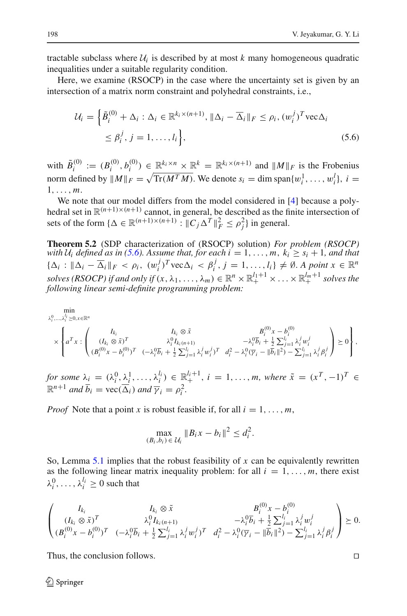tractable subclass where  $U_i$  is described by at most k many homogeneous quadratic inequalities under a suitable regularity condition.

<span id="page-27-0"></span>Here, we examine (RSOCP) in the case where the uncertainty set is given by an intersection of a matrix norm constraint and polyhedral constraints, i.e.,

$$
\mathcal{U}_i = \left\{ \tilde{B}_i^{(0)} + \Delta_i : \Delta_i \in \mathbb{R}^{k_i \times (n+1)}, \|\Delta_i - \overline{\Delta}_i\|_F \le \rho_i, (w_i^j)^T \text{vec}\Delta_i \right\}
$$
  

$$
\le \beta_i^j, j = 1, \dots, l_i \right\},
$$
 (5.6)

with  $\tilde{B}_i^{(0)} := (B_i^{(0)}, b_i^{(0)}) \in \mathbb{R}^{k_i \times n} \times \mathbb{R}^k = \mathbb{R}^{k_i \times (n+1)}$  and  $||M||_F$  is the Frobenius norm defined by  $||M||_F = \sqrt{\text{Tr}(M^T M)}$ . We denote  $s_i = \dim \text{span}\{w_i^1, \ldots, w_i^l\}$ ,  $i =$ 1,..., *m*.

We note that our model differs from the model considered in [\[4\]](#page-34-6) because a polyhedral set in  $\mathbb{R}^{(n+1)\times(n+1)}$  cannot, in general, be described as the finite intersection of sets of the form  $\{\Delta \in \mathbb{R}^{(n+1)\times(n+1)} : ||C_j \Delta^T||_F^2 \le \rho_j^2\}$  in general.

<span id="page-27-1"></span>**Theorem 5.2** (SDP characterization of (RSOCP) solution) *For problem (RSOCP) with*  $U_i$  *defined as in* [\(5.6\)](#page-27-0)*.* Assume that, for each  $i = 1, \ldots, m$ ,  $k_i \geq s_i + 1$ , and that  $\{\Delta_i : \|\Delta_i - \overline{\Delta}_i\|_F < \rho_i, \ (w_i^j)^T \text{vec}\Delta_i < \beta_i^j, j = 1, \ldots, l_i\} \neq \emptyset.$  A point  $x \in \mathbb{R}^n$ *solves (RSOCP) if and only if*  $(x, \lambda_1, ..., \lambda_m) \in \mathbb{R}^n \times \mathbb{R}^{l_1+1}_+ \times ... \times \mathbb{R}^{l_m+1}_+$  *solves the following linear semi-definite programming problem:*

$$
\min_{\lambda_i^0, ..., \lambda_i^l \ge 0, x \in \mathbb{R}^n} \min_{\lambda_i^0, \lambda_i^0 \ge 0, x \in \mathbb{R}^n} \left\{ a^T x : \begin{pmatrix} I_{k_i} & I_{k_i} \otimes \tilde{x} & B_i^{(0)} x - b_i^{(0)} \\ (I_{k_i} \otimes \tilde{x})^T & \lambda_i^0 I_{k_i(n+1)} & -\lambda_i^0 \overline{b}_i + \frac{1}{2} \sum_{j=1}^{l_i} \lambda_i^j w_i^j \\ (B_i^{(0)} x - b_i^{(0)})^T & (-\lambda_i^0 \overline{b}_i + \frac{1}{2} \sum_{j=1}^{l_i} \lambda_i^j w_i^j)^T & d_i^2 - \lambda_i^0 (\overline{\gamma}_i - ||\overline{b}_i||^2) - \sum_{j=1}^{l_i} \lambda_j^j \beta_i^j \end{pmatrix} \ge 0 \right\},
$$

*for some*  $\lambda_i = (\lambda_i^0, \lambda_i^1, \dots, \lambda_i^{l_i}) \in \mathbb{R}^{l_i+1}_+$ ,  $i = 1, \dots, m$ , where  $\tilde{x} = (x^T, -1)^T \in$  $\mathbb{R}^{n+1}$  *and*  $\overline{b}_i = \text{vec}(\overline{\Delta}_i)$  *and*  $\overline{\gamma}_i = \rho_i^2$ *.* 

*Proof* Note that a point *x* is robust feasible if, for all  $i = 1, \ldots, m$ ,

$$
\max_{(B_i, b_i) \in \mathcal{U}_i} \|B_i x - b_i\|^2 \le d_i^2.
$$

So, Lemma [5.1](#page-22-1) implies that the robust feasibility of *x* can be equivalently rewritten as the following linear matrix inequality problem: for all  $i = 1, \ldots, m$ , there exist  $\lambda_i^0, \ldots, \lambda_i^{l_i} \geq 0$  such that

$$
\begin{pmatrix}\nI_{k_i} & I_{k_i} \otimes \tilde{x} & B_i^{(0)}x - b_i^{(0)} \\
(I_{k_i} \otimes \tilde{x})^T & \lambda_i^0 I_{k_i(n+1)} & -\lambda_i^0 \overline{b}_i + \frac{1}{2} \sum_{j=1}^{l_i} \lambda_i^j w_i^j \\
(B_i^{(0)}x - b_i^{(0)})^T & (-\lambda_i^0 \overline{b}_i + \frac{1}{2} \sum_{j=1}^{l_i} \lambda_i^j w_i^j)^T & d_i^2 - \lambda_i^0 (\overline{\gamma}_i - ||\overline{b}_i||^2) - \sum_{j=1}^{l_i} \lambda_i^j \beta_i^j\n\end{pmatrix} \succeq 0.
$$

Thus, the conclusion follows.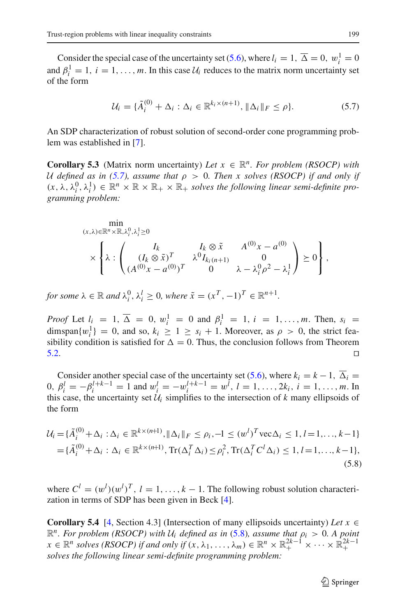Consider the special case of the uncertainty set [\(5.6\)](#page-27-0), where  $l_i = 1$ ,  $\overline{\Delta} = 0$ ,  $w_i^1 = 0$ and  $\beta_i^1 = 1, i = 1, \ldots, m$ . In this case  $\mathcal{U}_i$  reduces to the matrix norm uncertainty set of the form

$$
\mathcal{U}_i = \{\tilde{A}_i^{(0)} + \Delta_i : \Delta_i \in \mathbb{R}^{k_i \times (n+1)}, \|\Delta_i\|_F \le \rho\}.
$$
\n
$$
(5.7)
$$

<span id="page-28-0"></span>An SDP characterization of robust solution of second-order cone programming problem was established in [\[7](#page-34-11)].

**Corollary 5.3** (Matrix norm uncertainty) *Let*  $x \in \mathbb{R}^n$ *. For problem (RSOCP) with U defined as in [\(5.7\)](#page-28-0), assume that*  $\rho > 0$ *. Then x solves (RSOCP) if and only if*  $(x, \lambda, \lambda_i^0, \lambda_i^1) \in \mathbb{R}^n \times \mathbb{R} \times \mathbb{R}_+ \times \mathbb{R}_+$  *solves the following linear semi-definite programming problem:*

$$
\min_{(x,\lambda)\in\mathbb{R}^n\times\mathbb{R},\lambda_i^0,\lambda_i^1\geq 0} \times \left\{\lambda : \begin{pmatrix} I_k & I_k\otimes \tilde{x} & A^{(0)}x - a^{(0)} \\ (I_k\otimes \tilde{x})^T & \lambda^0 I_{k_i(n+1)} & 0 \\ (A^{(0)}x - a^{(0)})^T & 0 & \lambda - \lambda_i^0\rho^2 - \lambda_i^1 \end{pmatrix} \geq 0 \right\},
$$

*for some*  $\lambda \in \mathbb{R}$  *and*  $\lambda_i^0, \lambda_i^l \geq 0$ *, where*  $\tilde{x} = (x^T, -1)^T \in \mathbb{R}^{n+1}$ *.* 

*Proof* Let  $l_i = 1, \overline{\Delta} = 0, w_i^1 = 0$  and  $\beta_i^1 = 1, i = 1, ..., m$ . Then,  $s_i =$ dimspan $\{w_i^1\} = 0$ , and so,  $k_i \ge 1 \ge s_i + 1$ . Moreover, as  $\rho > 0$ , the strict feasibility condition is satisfied for  $\Delta = 0$ . Thus, the conclusion follows from Theorem  $5.2.$ 

Consider another special case of the uncertainty set [\(5.6\)](#page-27-0), where  $k_i = k - 1$ ,  $\overline{\Delta}_i =$ 0,  $\beta_i^l = -\beta_i^{l+k-1} = 1$  and  $w_i^l = -w_i^{l+k-1} = w_i^l$ ,  $l = 1, ..., 2k_i$ ,  $i = 1, ..., m$ . In this case, the uncertainty set  $\mathcal{U}_i$  simplifies to the intersection of k many ellipsoids of the form

<span id="page-28-1"></span>
$$
\mathcal{U}_{i} = \{\tilde{A}_{i}^{(0)} + \Delta_{i} : \Delta_{i} \in \mathbb{R}^{k \times (n+1)}, \|\Delta_{i}\|_{F} \le \rho_{i}, -1 \le (w^{l})^{T} \text{vec}\Delta_{i} \le 1, l = 1, ..., k-1\}
$$

$$
= \{\tilde{A}_{i}^{(0)} + \Delta_{i} : \Delta_{i} \in \mathbb{R}^{k \times (n+1)}, \text{Tr}(\Delta_{i}^{T} \Delta_{i}) \le \rho_{i}^{2}, \text{Tr}(\Delta_{i}^{T} C^{l} \Delta_{i}) \le 1, l = 1, ..., k-1\},\tag{5.8}
$$

where  $C^l = (w^l)(w^l)^T$ ,  $l = 1, ..., k - 1$ . The following robust solution characterization in terms of SDP has been given in Beck [\[4\]](#page-34-6).

**Corollary 5.4** [\[4](#page-34-6), Section 4.3] (Intersection of many ellipsoids uncertainty) *Let*  $x \in$  $\mathbb{R}^n$ *. For problem (RSOCP) with*  $U_i$  *defined as in* [\(5.8\)](#page-28-1)*, assume that*  $\rho_i > 0$ *. A point*  $x \in \mathbb{R}^n$  *solves (RSOCP)* if and only if  $(x, \lambda_1, ..., \lambda_m) \in \mathbb{R}^n \times \mathbb{R}^{2k-1}_+ \times \cdots \times \mathbb{R}^{2k-1}_+$ *solves the following linear semi-definite programming problem:*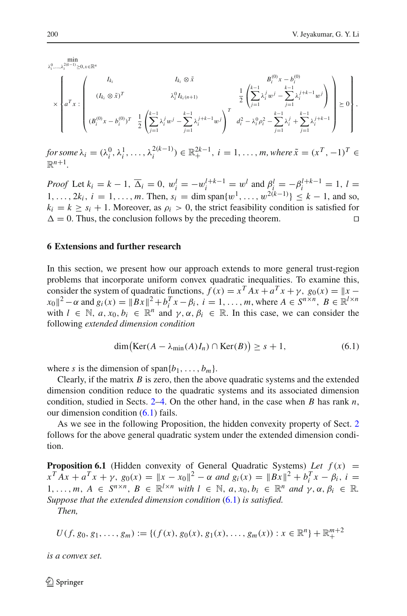min  $\lambda_i^0, \ldots, \lambda_i^{2(k-1)} \geq 0, x \in \mathbb{R}^n$ 

$$
\times\left\{a^T x:\left(\begin{array}{ccccc}I_{k_i} & I_{k_i}\otimes \tilde{x} & B_i^{(0)}x-b_i^{(0)} \\(I_{k_i}\otimes \tilde{x})^T & \lambda_i^0I_{k_i(n+1)} & \frac{1}{2}\left(\sum_{j=1}^{k-1}\lambda_i^jw^j-\sum_{j=1}^{k-1}\lambda_i^{j+k-1}w^j\right) \\(B_i^{(0)}x-b_i^{(0)})^T & \frac{1}{2}\left(\sum_{j=1}^{k-1}\lambda_i^jw^j-\sum_{j=1}^{k-1}\lambda_i^{j+k-1}w^j\right)^T & d_i^2-\lambda_i^0\rho_i^2-\sum_{j=1}^{k-1}\lambda_i^j+\sum_{j=1}^{k-1}\lambda_i^{j+k-1}\right\}\end{array}\right\}\geq 0\right\},
$$

*for some*  $\lambda_i = (\lambda_i^0, \lambda_i^1, \ldots, \lambda_i^{2(k-1)}) \in \mathbb{R}_+^{2k-1}, i = 1, \ldots, m$ , where  $\tilde{x} = (x^T, -1)^T \in$  $\mathbb{R}^{n+1}$ 

*Proof* Let  $k_i = k - 1$ ,  $\overline{\Delta}_i = 0$ ,  $w_i^l = -w_i^{l+k-1} = w^l$  and  $\beta_i^l = -\beta_i^{l+k-1} = 1$ ,  $l =$ 1,...,  $2k_i$ ,  $i = 1, ..., m$ . Then,  $s_i = \dim \text{span}\{w^1, ..., w^{2(k-1)}\} \le k - 1$ , and so,  $k_i = k > s_i + 1$ . Moreover, as  $\rho_i > 0$ , the strict feasibility condition is satisfied for  $\Delta = 0$ . Thus, the conclusion follows by the preceding theorem.

#### <span id="page-29-0"></span>**6 Extensions and further research**

In this section, we present how our approach extends to more general trust-region problems that incorporate uniform convex quadratic inequalities. To examine this, consider the system of quadratic functions,  $f(x) = x^T A x + a^T x + \gamma$ ,  $g_0(x) = ||x - x||^2$  $x_0$ <sup> $2 - \alpha$ </sup> and  $g_i(x) = \|Bx\|^2 + b_i^T x - \beta_i$ ,  $i = 1, ..., m$ , where  $A \in S^{n \times n}$ ,  $B \in \mathbb{R}^{l \times n}$ with  $l \in \mathbb{N}$ ,  $a, x_0, b_i \in \mathbb{R}^n$  and  $\gamma, \alpha, \beta_i \in \mathbb{R}$ . In this case, we can consider the following *extended dimension condition*

$$
\dim\bigl(\text{Ker}(A - \lambda_{\min}(A)I_n) \cap \text{Ker}(B)\bigr) \ge s + 1,\tag{6.1}
$$

<span id="page-29-1"></span>where *s* is the dimension of span $\{b_1, \ldots, b_m\}$ .

Clearly, if the matrix *B* is zero, then the above quadratic systems and the extended dimension condition reduce to the quadratic systems and its associated dimension condition, studied in Sects. [2–](#page-3-0)[4.](#page-14-0) On the other hand, in the case when *B* has rank *n*, our dimension condition  $(6.1)$  fails.

As we see in the following Proposition, the hidden convexity property of Sect. [2](#page-3-0) follows for the above general quadratic system under the extended dimension condition.

<span id="page-29-2"></span>**Proposition 6.1** (Hidden convexity of General Quadratic Systems) Let  $f(x) =$  $x^T A x + a^T x + \gamma$ ,  $g_0(x) = ||x - x_0||^2 - \alpha$  and  $g_i(x) = ||Bx||^2 + b_i^T x - \beta_i$ ,  $i =$ 1,..., *m*,  $A \in S^{n \times n}$ ,  $B \in \mathbb{R}^{l \times n}$  *with*  $l \in \mathbb{N}$ ,  $a, x_0, b_i \in \mathbb{R}^n$  *and*  $\gamma, \alpha, \beta_i \in \mathbb{R}$ . *Suppose that the extended dimension condition* [\(6.1\)](#page-29-1) *is satisfied.*

*Then,*

$$
U(f, g_0, g_1, \ldots, g_m) := \{ (f(x), g_0(x), g_1(x), \ldots, g_m(x)) : x \in \mathbb{R}^n \} + \mathbb{R}_+^{m+2}
$$

*is a convex set.*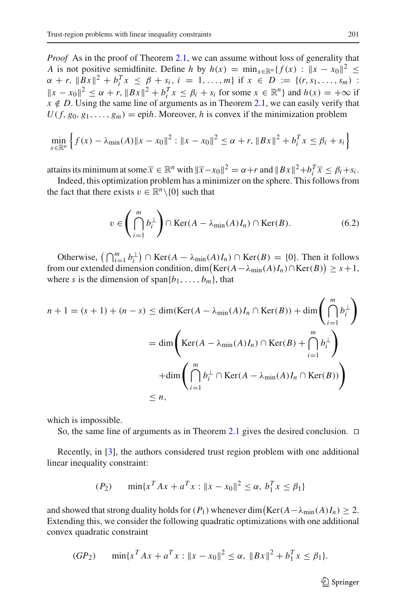*Proof* As in the proof of Theorem [2.1,](#page-3-1) we can assume without loss of generality that *A* is not positive semidfinite. Define *h* by  $h(x) = \min_{x \in \mathbb{R}^n} {f(x) : ||x - x_0||^2} \le$  $\alpha + r$ ,  $||Bx||^2 + b_i^T x \leq \beta + s_i$ ,  $i = 1, ..., m$  if  $x \in D := \{(r, s_1, ..., s_m)$ :  $||x - x_0||^2 \le \alpha + r$ ,  $||Bx||^2 + b_i^T x \le \beta_i + s_i$  for some  $x \in \mathbb{R}^n$  and  $h(x) = +\infty$  if  $x \notin D$ . Using the same line of arguments as in Theorem [2.1,](#page-3-1) we can easily verify that  $U(f, g_0, g_1, \ldots, g_m) =$  epi*h*. Moreover, *h* is convex if the minimization problem

$$
\min_{x \in \mathbb{R}^n} \left\{ f(x) - \lambda_{\min}(A) \|x - x_0\|^2 : \|x - x_0\|^2 \le \alpha + r, \|Bx\|^2 + b_i^T x \le \beta_i + s_i \right\}
$$

attains its minimum at some  $\overline{x} \in \mathbb{R}^n$  with  $\|\overline{x} - x_0\|^2 = \alpha + r$  and  $\|Bx\|^2 + b_i^T \overline{x} \le \beta_i + s_i$ .

Indeed, this optimization problem has a minimizer on the sphere. This follows from the fact that there exists  $v \in \mathbb{R}^n \setminus \{0\}$  such that

$$
v \in \left(\bigcap_{i=1}^{m} b_i^{\perp}\right) \cap \text{Ker}(A - \lambda_{\text{min}}(A)I_n) \cap \text{Ker}(B). \tag{6.2}
$$

Otherwise,  $\left(\bigcap_{i=1}^m b_i^{\perp}\right) \cap \text{Ker}(A - \lambda_{\min}(A)I_n) \cap \text{Ker}(B) = \{0\}$ . Then it follows from our extended dimension condition,  $\dim (\mathrm{Ker}(A - \lambda_{\min}(A)I_n) \cap \mathrm{Ker}(B)) \geq s + 1$ , where *s* is the dimension of span ${b_1, \ldots, b_m}$ , that

$$
n + 1 = (s + 1) + (n - s) \le \dim(\text{Ker}(A - \lambda_{\min}(A)I_n \cap \text{Ker}(B)) + \dim\left(\bigcap_{i=1}^{m} b_i^{\perp}\right)
$$

$$
= \dim\left(\text{Ker}(A - \lambda_{\min}(A)I_n) \cap \text{Ker}(B) + \bigcap_{i=1}^{m} b_i^{\perp}\right)
$$

$$
+ \dim\left(\bigcap_{i=1}^{m} b_i^{\perp} \cap \text{Ker}(A - \lambda_{\min}(A)I_n \cap \text{Ker}(B))\right)
$$

$$
\le n,
$$

which is impossible.

So, the same line of arguments as in Theorem [2.1](#page-3-1) gives the desired conclusion.  $\Box$ 

Recently, in [\[3\]](#page-34-5), the authors considered trust region problem with one additional linear inequality constraint:

$$
(P_2) \qquad \min\{x^T A x + a^T x : ||x - x_0||^2 \le \alpha, \ b_1^T x \le \beta_1\}
$$

and showed that strong duality holds for  $(P_1)$  whenever dim $\left(\text{Ker}(A - \lambda_{\min}(A)I_n) \geq 2$ . Extending this, we consider the following quadratic optimizations with one additional convex quadratic constraint

$$
(GP_2) \qquad \min\{x^T A x + a^T x : ||x - x_0||^2 \le \alpha, ||Bx||^2 + b_1^T x \le \beta_1\}.
$$

 $\mathcal{D}$  Springer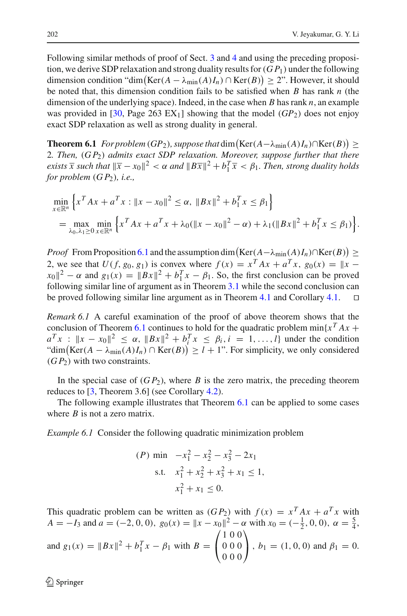Following similar methods of proof of Sect. [3](#page-8-0) and [4](#page-14-0) and using the preceding proposition, we derive SDP relaxation and strong duality results for(*G P*1) under the following dimension condition "dim $(\text{Ker}(A - \lambda_{\text{min}}(A)I_n) \cap \text{Ker}(B)) \ge 2$ ". However, it should be noted that, this dimension condition fails to be satisfied when *B* has rank *n* (the dimension of the underlying space). Indeed, in the case when *B* has rank *n*, an example was provided in [\[30,](#page-35-13) Page 263 EX<sub>1</sub>] showing that the model ( $GP_2$ ) does not enjoy exact SDP relaxation as well as strong duality in general.

<span id="page-31-0"></span>**Theorem 6.1** *For problem* (*GP*<sub>2</sub>)*, suppose that* dim  $(Ker(A - \lambda_{min}(A)I_n) \cap Ker(B)) \ge$ 2*. Then,* (*G P*2) *admits exact SDP relaxation. Moreover, suppose further that there exists*  $\overline{x}$  *such that*  $\|\overline{x} - x_0\|^2 < \alpha$  *and*  $\|B\overline{x}\|^2 + b_1^T \overline{x} < \beta_1$ *. Then, strong duality holds for problem* (*G P*2)*, i.e.,*

$$
\min_{x \in \mathbb{R}^n} \left\{ x^T A x + a^T x : ||x - x_0||^2 \le \alpha, ||Bx||^2 + b_1^T x \le \beta_1 \right\}
$$
  
= 
$$
\max_{\lambda_0, \lambda_1 \ge 0} \min_{x \in \mathbb{R}^n} \left\{ x^T A x + a^T x + \lambda_0 (||x - x_0||^2 - \alpha) + \lambda_1 (||Bx||^2 + b_1^T x \le \beta_1) \right\}.
$$

*Proof* From Proposition [6.1](#page-29-2) and the assumption dim  $(\text{Ker}(A - \lambda_{\min}(A)I_n) \cap \text{Ker}(B)) \ge$ 2, we see that  $U(f, g_0, g_1)$  is convex where  $f(x) = x^T A x + a^T x$ ,  $g_0(x) = ||x - x||^2$  $||x_0||^2 - \alpha$  and  $g_1(x) = ||Bx||^2 + b_1^T x - \beta_1$ . So, the first conclusion can be proved following similar line of argument as in Theorem [3.1](#page-9-0) while the second conclusion can be proved following similar line argument as in Theorem [4.1](#page-14-2) and Corollary [4.1.](#page-16-0) 

*Remark 6.1* A careful examination of the proof of above theorem shows that the conclusion of Theorem [6.1](#page-31-0) continues to hold for the quadratic problem  $\min\{x^T Ax +$  $a^Tx : ||x - x_0||^2 \le \alpha$ ,  $||Bx||^2 + b_i^Tx \le \beta_i$ ,  $i = 1, ..., l$  under the condition "dim (Ker( $A - \lambda_{\min}(A)I_n$ ) ∩ Ker( $B$ ))  $\ge l + 1$ ". For simplicity, we only considered  $(GP<sub>2</sub>)$  with two constraints.

In the special case of  $(GP_2)$ , where *B* is the zero matrix, the preceding theorem reduces to [\[3](#page-34-5), Theorem 3.6] (see Corollary [4.2\)](#page-18-0).

The following example illustrates that Theorem [6.1](#page-31-0) can be applied to some cases where *B* is not a zero matrix.

*Example 6.1* Consider the following quadratic minimization problem

$$
(P) \min \ -x_1^2 - x_2^2 - x_3^2 - 2x_1
$$
\n
$$
\text{s.t.} \quad x_1^2 + x_2^2 + x_3^2 + x_1 \le 1,
$$
\n
$$
x_1^2 + x_1 \le 0.
$$

This quadratic problem can be written as  $(GP_2)$  with  $f(x) = x^T A x + a^T x$  with *A* = −*I*<sub>3</sub> and *a* = (−2, 0, 0),  $g_0(x) = ||x - x_0||^2 - \alpha$  with  $x_0 = (-\frac{1}{2}, 0, 0)$ ,  $\alpha = \frac{5}{4}$ , and  $g_1(x) = ||Bx||^2 + b_1^T x - \beta_1$  with  $B =$  $\sqrt{2}$  $\mathbf{I}$ 100 000 000 ⎞  $\Big\}, b_1 = (1, 0, 0)$  and  $\beta_1 = 0$ .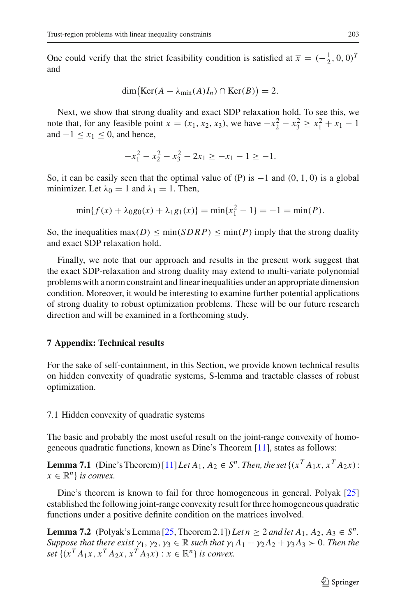One could verify that the strict feasibility condition is satisfied at  $\bar{x} = (-\frac{1}{2}, 0, 0)^T$ and

$$
\dim\bigl(\text{Ker}(A-\lambda_{\min}(A)I_n)\cap\text{Ker}(B)\bigr)=2.
$$

Next, we show that strong duality and exact SDP relaxation hold. To see this, we note that, for any feasible point *x* = (*x*<sub>1</sub>, *x*<sub>2</sub>, *x*<sub>3</sub>), we have  $-x_2^2 - x_3^2 \ge x_1^2 + x_1 - 1$ and  $-1 \le x_1 \le 0$ , and hence,

$$
-x_1^2 - x_2^2 - x_3^2 - 2x_1 \ge -x_1 - 1 \ge -1.
$$

So, it can be easily seen that the optimal value of (P) is  $-1$  and (0, 1, 0) is a global minimizer. Let  $\lambda_0 = 1$  and  $\lambda_1 = 1$ . Then,

$$
\min\{f(x) + \lambda_0 g_0(x) + \lambda_1 g_1(x)\} = \min\{x_1^2 - 1\} = -1 = \min(P).
$$

So, the inequalities  $\max(D) \leq \min(SDRP) \leq \min(P)$  imply that the strong duality and exact SDP relaxation hold.

Finally, we note that our approach and results in the present work suggest that the exact SDP-relaxation and strong duality may extend to multi-variate polynomial problems with a norm constraint and linear inequalities under an appropriate dimension condition. Moreover, it would be interesting to examine further potential applications of strong duality to robust optimization problems. These will be our future research direction and will be examined in a forthcoming study.

# **7 Appendix: Technical results**

For the sake of self-containment, in this Section, we provide known technical results on hidden convexity of quadratic systems, S-lemma and tractable classes of robust optimization.

## 7.1 Hidden convexity of quadratic systems

The basic and probably the most useful result on the joint-range convexity of homogeneous quadratic functions, known as Dine's Theorem [\[11\]](#page-34-10), states as follows:

**Lemma 7.1** (Dine's Theorem)  $[11]$  *Let*  $A_1, A_2 \in S^n$ . *Then, the set*  $\{(x^T A_1 x, x^T A_2 x)$ :  $x \in \mathbb{R}^n$  *is convex.* 

Dine's theorem is known to fail for three homogeneous in general. Polyak [\[25\]](#page-35-9) established the following joint-range convexity result for three homogeneous quadratic functions under a positive definite condition on the matrices involved.

**Lemma 7.2** (Polyak's Lemma [\[25](#page-35-9), Theorem 2.1]) *Let*  $n \geq 2$  *and let*  $A_1, A_2, A_3 \in S^n$ . *Suppose that there exist*  $\gamma_1, \gamma_2, \gamma_3 \in \mathbb{R}$  *such that*  $\gamma_1 A_1 + \gamma_2 A_2 + \gamma_3 A_3 > 0$ *. Then the set*  $\{(x^T A_1 x, x^T A_2 x, x^T A_3 x) : x \in \mathbb{R}^n\}$  *is convex.*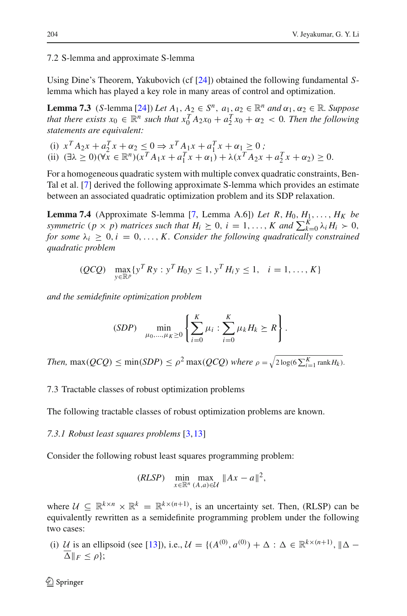7.2 S-lemma and approximate S-lemma

Using Dine's Theorem, Yakubovich (cf [\[24](#page-35-10)]) obtained the following fundamental *S*lemma which has played a key role in many areas of control and optimization.

**Lemma 7.3** (*S*-lemma [\[24\]](#page-35-10)) *Let*  $A_1, A_2 \in S^n$ ,  $a_1, a_2 \in \mathbb{R}^n$  *and*  $\alpha_1, \alpha_2 \in \mathbb{R}$ *. Suppose that there exists*  $x_0 \in \mathbb{R}^n$  *such that*  $x_0^T A_2 x_0 + a_2^T x_0 + \alpha_2 < 0$ *. Then the following statements are equivalent:*

(i) 
$$
x^T A_2 x + a_2^T x + \alpha_2 \le 0 \Rightarrow x^T A_1 x + a_1^T x + \alpha_1 \ge 0
$$
;  
\n(ii)  $(\exists \lambda \ge 0)(\forall x \in \mathbb{R}^n)(x^T A_1 x + a_1^T x + \alpha_1) + \lambda (x^T A_2 x + a_2^T x + \alpha_2) \ge 0$ .

For a homogeneous quadratic system with multiple convex quadratic constraints, Ben-Tal et al. [\[7\]](#page-34-11) derived the following approximate S-lemma which provides an estimate between an associated quadratic optimization problem and its SDP relaxation.

**Lemma 7.4** (Approximate S-lemma [\[7,](#page-34-11) Lemma A.6]) *Let R, H*<sub>0</sub>,  $H_1, \ldots, H_K$  *be symmetric*  $(p \times p)$  *matrices such that*  $H_i \geq 0$ ,  $i = 1, ..., K$  *and*  $\sum_{k=0}^{K} \lambda_i H_i > 0$ , *for some*  $\lambda_i \geq 0, i = 0, \ldots, K$ . *Consider the following quadratically constrained quadratic problem*

$$
(QCQ)
$$
  $\max_{y \in \mathbb{R}^p} \{y^T R y : y^T H_0 y \le 1, y^T H_i y \le 1, i = 1, ..., K\}$ 

*and the semidefinite optimization problem*

$$
(SDP) \quad \min_{\mu_0, ..., \mu_K \ge 0} \left\{ \sum_{i=0}^K \mu_i : \sum_{i=0}^K \mu_k H_k \ge R \right\}.
$$

*Then,*  $\max(QCQ) \le \min(SDP) \le \rho^2 \max(QCQ)$  *where*  $\rho = \sqrt{2 \log(6 \sum_{i=1}^{K} \text{rank} H_k)}$ .

7.3 Tractable classes of robust optimization problems

The following tractable classes of robust optimization problems are known.

*7.3.1 Robust least squares problems* [\[3](#page-34-5)[,13](#page-34-12)]

Consider the following robust least squares programming problem:

$$
(RLSP) \quad \min_{x \in \mathbb{R}^n} \max_{(A,a) \in \mathcal{U}} \|Ax - a\|^2,
$$

where  $U \subseteq \mathbb{R}^{k \times n} \times \mathbb{R}^k = \mathbb{R}^{k \times (n+1)}$ , is an uncertainty set. Then, (RLSP) can be equivalently rewritten as a semidefinite programming problem under the following two cases:

(i) *U* is an ellipsoid (see [\[13](#page-34-12)]), i.e.,  $\mathcal{U} = \{(A^{(0)}, a^{(0)}) + \Delta : \Delta \in \mathbb{R}^{k \times (n+1)}\}, \|\Delta - \Delta\| \leq \Delta$  $\overline{\Delta}$ || $_F \leq \rho$  };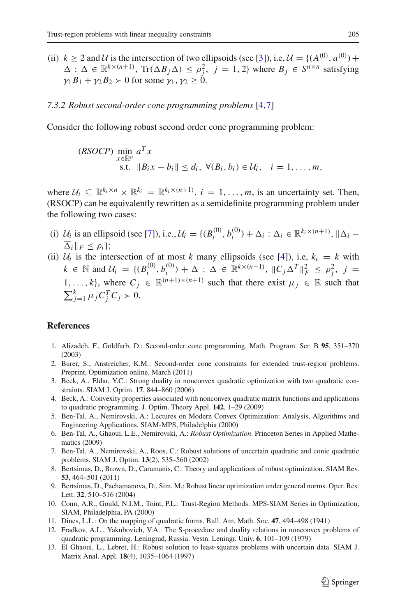(ii)  $k \ge 2$  and *U* is the intersection of two ellipsoids (see [\[3](#page-34-5)]), i.e,  $\mathcal{U} = \{(A^{(0)}, a^{(0)}) +$  $\Delta$ :  $\Delta \in \mathbb{R}^{k \times (n+1)}$ , Tr( $\Delta B_j \Delta$ )  $\leq \rho_j^2$ ,  $j = 1, 2$ } where  $B_j \in S^{n \times n}$  satisfying  $\gamma_1 B_1 + \gamma_2 B_2 > 0$  for some  $\gamma_1, \gamma_2 > 0$ .

# *7.3.2 Robust second-order cone programming problems* [\[4](#page-34-6),[7\]](#page-34-11)

Consider the following robust second order cone programming problem:

$$
\begin{array}{ll}\n(RSOCP) \min_{x \in \mathbb{R}^n} a^T x & \text{s.t.} & \|B_i x - b_i\| \le d_i, \ \forall (B_i, b_i) \in \mathcal{U}_i, \quad i = 1, \dots, m,\n\end{array}
$$

where  $U_i \subseteq \mathbb{R}^{k_i \times n} \times \mathbb{R}^{k_i} = \mathbb{R}^{k_i \times (n+1)}$ ,  $i = 1, ..., m$ , is an uncertainty set. Then, (RSOCP) can be equivalently rewritten as a semidefinite programming problem under the following two cases:

- (i)  $U_i$  is an ellipsoid (see [\[7](#page-34-11)]), i.e.,  $U_i = \{ (B_i^{(0)}, b_i^{(0)}) + \Delta_i : \Delta_i \in \mathbb{R}^{k_i \times (n+1)}, ||\Delta_i \overline{\Delta}_i \Vert_F \leq \rho_i$ :
- (ii)  $U_i$  is the intersection of at most k many ellipsoids (see [\[4\]](#page-34-6)), i.e,  $k_i = k$  with  $k \in \mathbb{N}$  and  $\mathcal{U}_i = \{ (B_i^{(0)}, b_i^{(0)}) + \Delta : \Delta \in \mathbb{R}^{k \times (n+1)}$ ,  $||C_j \Delta^T||_F^2 \le \rho_j^2$ ,  $j =$ 1,..., *k*}, where  $C_i \in \mathbb{R}^{(n+1)\times(n+1)}$  such that there exist  $\mu_i \in \mathbb{R}$  such that  $\sum_{j=1}^{k} \mu_j C_j^T C_j > 0.$

#### <span id="page-34-7"></span>**References**

- 1. Alizadeh, F., Goldfarb, D.: Second-order cone programming. Math. Program. Ser. B **95**, 351–370 (2003)
- <span id="page-34-1"></span>2. Burer, S., Anstreicher, K.M.: Second-order cone constraints for extended trust-region problems. Preprint, Optimization online, March (2011)
- <span id="page-34-5"></span>3. Beck, A., Eldar, Y.C.: Strong duality in nonconvex quadratic optimization with two quadratic constraints. SIAM J. Optim. **17**, 844–860 (2006)
- <span id="page-34-6"></span>4. Beck, A.: Convexity properties associated with nonconvex quadratic matrix functions and applications to quadratic programming. J. Optim. Theory Appl. **142**, 1–29 (2009)
- <span id="page-34-8"></span>5. Ben-Tal, A., Nemirovski, A.: Lectures on Modern Convex Optimization: Analysis, Algorithms and Engineering Applications. SIAM-MPS, Philadelphia (2000)
- <span id="page-34-2"></span>6. Ben-Tal, A., Ghaoui, L.E., Nemirovski, A.: *Robust Optimization*. Princeton Series in Applied Mathematics (2009)
- <span id="page-34-11"></span>7. Ben-Tal, A., Nemirovski, A., Roos, C.: Robust solutions of uncertain quadratic and conic quadratic problems. SIAM J. Optim. **13**(2), 535–560 (2002)
- <span id="page-34-3"></span>8. Bertsimas, D., Brown, D., Caramanis, C.: Theory and applications of robust optimization. SIAM Rev. **53**, 464–501 (2011)
- <span id="page-34-4"></span>9. Bertsimas, D., Pachamanova, D., Sim, M.: Robust linear optimization under general norms. Oper. Res. Lett. **32**, 510–516 (2004)
- <span id="page-34-0"></span>10. Conn, A.R., Gould, N.I.M., Toint, P.L.: Trust-Region Methods. MPS-SIAM Series in Optimization, SIAM, Philadelphia, PA (2000)
- <span id="page-34-10"></span>11. Dines, L.L.: On the mapping of quadratic forms. Bull. Am. Math. Soc. **47**, 494–498 (1941)
- <span id="page-34-9"></span>12. Fradkov, A.L., Yakubovich, V.A.: The S-procedure and duality relations in nonconvex problems of quadratic programming. Leningrad, Russia. Vestn. Leningr. Univ. **6**, 101–109 (1979)
- <span id="page-34-12"></span>13. El Ghaoui, L., Lebret, H.: Robust solution to least-squares problems with uncertain data. SIAM J. Matrix Anal. Appl. **18**(4), 1035–1064 (1997)